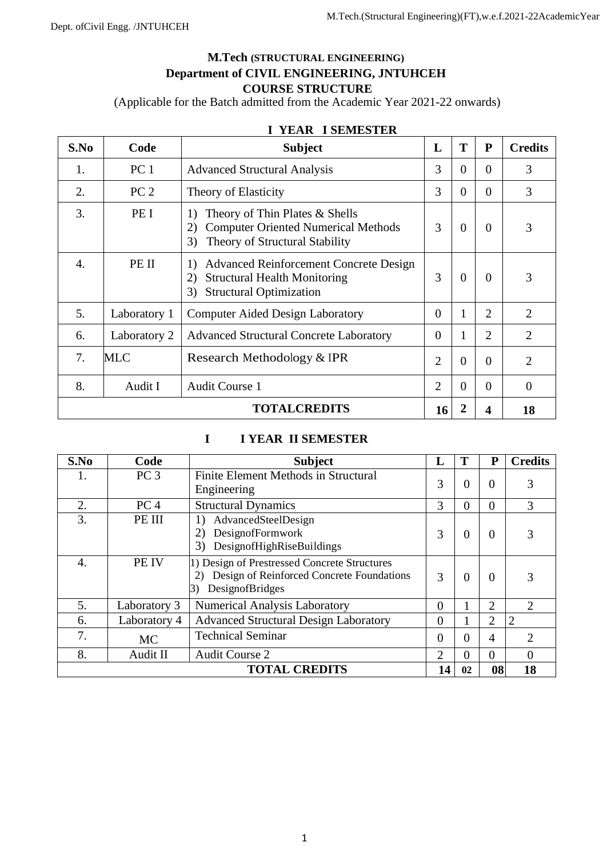# **M.Tech (STRUCTURAL ENGINEERING) Department of CIVIL ENGINEERING, JNTUHCEH COURSE STRUCTURE**

(Applicable for the Batch admitted from the Academic Year 2021-22 onwards)

| S.No                                 | Code            | <b>Subject</b>                                                                                                                           | L                           | T        | ${\bf P}$      | <b>Credits</b> |
|--------------------------------------|-----------------|------------------------------------------------------------------------------------------------------------------------------------------|-----------------------------|----------|----------------|----------------|
| 1.                                   | PC <sub>1</sub> | <b>Advanced Structural Analysis</b>                                                                                                      | 3                           | $\Omega$ | $\Omega$       | 3              |
| 2.                                   | PC <sub>2</sub> | Theory of Elasticity                                                                                                                     | 3                           | $\Omega$ | $\theta$       | 3              |
| 3.                                   | PE I            | Theory of Thin Plates $&$ Shells<br>1)<br><b>Computer Oriented Numerical Methods</b><br>2)<br>Theory of Structural Stability<br>3)       | 3                           | $\Omega$ | $\Omega$       | 3              |
| 4.                                   | PE II           | <b>Advanced Reinforcement Concrete Design</b><br>1)<br><b>Structural Health Monitoring</b><br>2)<br><b>Structural Optimization</b><br>3) | 3                           | $\Omega$ | $\Omega$       | 3              |
| 5.                                   | Laboratory 1    | <b>Computer Aided Design Laboratory</b>                                                                                                  | 0                           |          | 2              | $\overline{2}$ |
| 6.                                   | Laboratory 2    | <b>Advanced Structural Concrete Laboratory</b>                                                                                           | 0                           |          | $\overline{2}$ | $\overline{2}$ |
| 7.                                   | MLC             | Research Methodology & IPR                                                                                                               | $\overline{2}$              | $\Omega$ | $\Omega$       | $\overline{2}$ |
| 8.                                   | Audit I         | <b>Audit Course 1</b>                                                                                                                    | $\mathcal{D}_{\mathcal{L}}$ | $\Omega$ | $\Omega$       | $\theta$       |
| <b>TOTALCREDITS</b><br>18<br>16<br>4 |                 |                                                                                                                                          |                             |          |                |                |

# **I YEAR I SEMESTER**

# **I I YEAR II SEMESTER**

| S.No | Code                                         | <b>Subject</b>                                                                                                     | L              |          | P              | <b>Credits</b> |  |  |
|------|----------------------------------------------|--------------------------------------------------------------------------------------------------------------------|----------------|----------|----------------|----------------|--|--|
|      | PC <sub>3</sub>                              | Finite Element Methods in Structural<br>Engineering                                                                | 3              | $\Omega$ | $\Omega$       | 3              |  |  |
| 2.   | PC <sub>4</sub>                              | <b>Structural Dynamics</b>                                                                                         | 3              | 0        | $\Omega$       | 3              |  |  |
| 3.   | PE III                                       | AdvancedSteelDesign<br>$\mathbf{D}$<br>DesignofFormwork<br>2)<br>DesignofHighRiseBuildings<br>3)                   | 3              | $\Omega$ | $\Omega$       | 3              |  |  |
| 4.   | PE IV                                        | 1) Design of Prestressed Concrete Structures<br>Design of Reinforced Concrete Foundations<br>DesignofBridges<br>3) | 3              | $\theta$ | $\Omega$       | 3              |  |  |
| 5.   | Laboratory 3                                 | <b>Numerical Analysis Laboratory</b>                                                                               | 0              |          | 2              | $\overline{2}$ |  |  |
| 6.   | Laboratory 4                                 | <b>Advanced Structural Design Laboratory</b>                                                                       | $\theta$       |          | $\overline{2}$ | $\overline{2}$ |  |  |
| 7.   | <b>MC</b>                                    | <b>Technical Seminar</b>                                                                                           | 0              | $\theta$ | $\overline{4}$ | $\overline{2}$ |  |  |
| 8.   | Audit II                                     | <b>Audit Course 2</b>                                                                                              | $\overline{2}$ | $\Omega$ | $\Omega$       | $\Omega$       |  |  |
|      | <b>TOTAL CREDITS</b><br>18<br>14<br>08<br>02 |                                                                                                                    |                |          |                |                |  |  |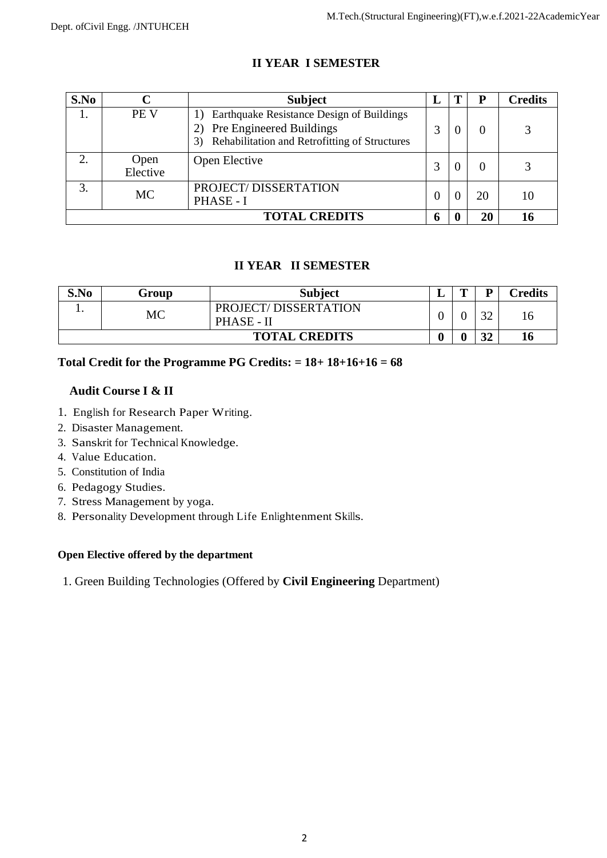| S.No | C                | <b>Subject</b>                                                                                                                      | L        |    | <b>Credits</b> |
|------|------------------|-------------------------------------------------------------------------------------------------------------------------------------|----------|----|----------------|
|      | <b>PE V</b>      | Earthquake Resistance Design of Buildings<br><b>Pre Engineered Buildings</b><br>Rehabilitation and Retrofitting of Structures<br>3) | 3        |    |                |
| 2.   | Open<br>Elective | Open Elective                                                                                                                       | 3        |    |                |
| 3.   | <b>MC</b>        | PROJECT/DISSERTATION<br>PHASE - I                                                                                                   | $\Omega$ | 20 | 10             |
|      |                  | <b>TOTAL CREDITS</b>                                                                                                                | 6        | 20 |                |

# **II YEAR I SEMESTER**

# **II YEAR II SEMESTER**

| S.No | Group | <b>Subject</b>                     | ≖ | m | D        | Credits |
|------|-------|------------------------------------|---|---|----------|---------|
| . .  | МC    | PROJECT/DISSERTATION<br>PHASE - II |   |   | $\Omega$ | 16      |
|      |       | <b>TOTAL CREDITS</b>               |   |   | 21<br>◡∸ | 10      |

# **Total Credit for the Programme PG Credits: = 18+ 18+16+16 = 68**

# **Audit Course I & II**

- 1. English for Research Paper Writing.
- 2. Disaster Management.
- 3. Sanskrit for Technical Knowledge.
- 4. Value Education.
- 5. Constitution of India
- 6. Pedagogy Studies.
- 7. Stress Management by yoga.
- 8. Personality Development through Life Enlightenment Skills.

# **Open Elective offered by the department**

1. Green Building Technologies (Offered by **Civil Engineering** Department)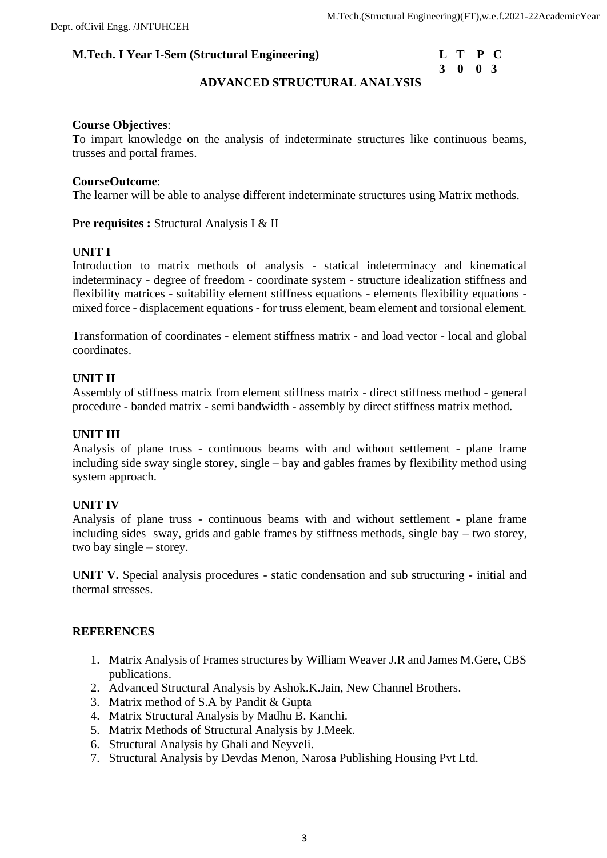| L | Т           | P        | <b>C</b> |
|---|-------------|----------|----------|
| 3 | $\mathbf 0$ | $\bf{0}$ | -3       |

# **ADVANCED STRUCTURAL ANALYSIS**

### **Course Objectives**:

To impart knowledge on the analysis of indeterminate structures like continuous beams, trusses and portal frames.

### **CourseOutcome**:

The learner will be able to analyse different indeterminate structures using Matrix methods.

**Pre requisites : Structural Analysis I & II** 

## **UNIT I**

Introduction to matrix methods of analysis - statical indeterminacy and kinematical indeterminacy - degree of freedom - coordinate system - structure idealization stiffness and flexibility matrices - suitability element stiffness equations - elements flexibility equations mixed force - displacement equations - for truss element, beam element and torsional element.

Transformation of coordinates - element stiffness matrix - and load vector - local and global coordinates.

### **UNIT II**

Assembly of stiffness matrix from element stiffness matrix - direct stiffness method - general procedure - banded matrix - semi bandwidth - assembly by direct stiffness matrix method.

### **UNIT III**

Analysis of plane truss - continuous beams with and without settlement - plane frame including side sway single storey, single – bay and gables frames by flexibility method using system approach.

#### **UNIT IV**

Analysis of plane truss - continuous beams with and without settlement - plane frame including sides sway, grids and gable frames by stiffness methods, single bay – two storey, two bay single – storey.

**UNIT V.** Special analysis procedures - static condensation and sub structuring - initial and thermal stresses.

#### **REFERENCES**

- 1. Matrix Analysis of Frames structures by William Weaver J.R and James M.Gere, CBS publications.
- 2. Advanced Structural Analysis by Ashok.K.Jain, New Channel Brothers.
- 3. Matrix method of S.A by Pandit & Gupta
- 4. Matrix Structural Analysis by Madhu B. Kanchi.
- 5. Matrix Methods of Structural Analysis by J.Meek.
- 6. Structural Analysis by Ghali and Neyveli.
- 7. Structural Analysis by Devdas Menon, Narosa Publishing Housing Pvt Ltd.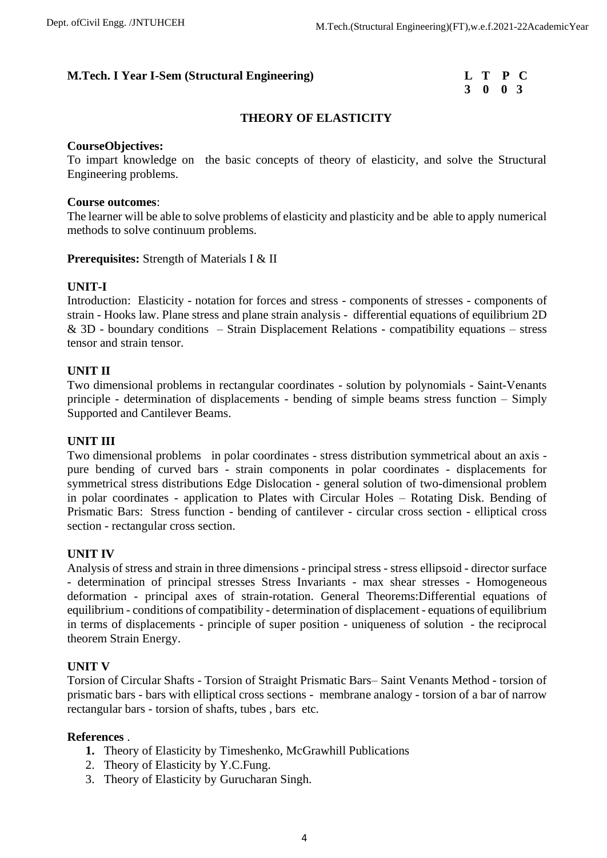# **3 0 0 3**

# **THEORY OF ELASTICITY**

### **CourseObjectives:**

To impart knowledge on the basic concepts of theory of elasticity, and solve the Structural Engineering problems.

### **Course outcomes**:

The learner will be able to solve problems of elasticity and plasticity and be able to apply numerical methods to solve continuum problems.

**Prerequisites:** Strength of Materials I & II

## **UNIT-I**

Introduction: Elasticity - notation for forces and stress - components of stresses - components of strain - Hooks law. Plane stress and plane strain analysis - differential equations of equilibrium 2D  $&$  3D - boundary conditions – Strain Displacement Relations - compatibility equations – stress tensor and strain tensor.

### **UNIT II**

Two dimensional problems in rectangular coordinates - solution by polynomials - Saint-Venants principle - determination of displacements - bending of simple beams stress function – Simply Supported and Cantilever Beams.

## **UNIT III**

Two dimensional problems in polar coordinates - stress distribution symmetrical about an axis pure bending of curved bars - strain components in polar coordinates - displacements for symmetrical stress distributions Edge Dislocation - general solution of two-dimensional problem in polar coordinates - application to Plates with Circular Holes – Rotating Disk. Bending of Prismatic Bars: Stress function - bending of cantilever - circular cross section - elliptical cross section - rectangular cross section.

## **UNIT IV**

Analysis of stress and strain in three dimensions - principal stress - stress ellipsoid - director surface - determination of principal stresses Stress Invariants - max shear stresses - Homogeneous deformation - principal axes of strain-rotation. General Theorems:Differential equations of equilibrium - conditions of compatibility - determination of displacement - equations of equilibrium in terms of displacements - principle of super position - uniqueness of solution - the reciprocal theorem Strain Energy.

#### **UNIT V**

Torsion of Circular Shafts - Torsion of Straight Prismatic Bars– Saint Venants Method - torsion of prismatic bars - bars with elliptical cross sections - membrane analogy - torsion of a bar of narrow rectangular bars - torsion of shafts, tubes , bars etc.

#### **References** .

- **1.** Theory of Elasticity by Timeshenko, McGrawhill Publications
- 2. Theory of Elasticity by Y.C.Fung.
- 3. Theory of Elasticity by Gurucharan Singh.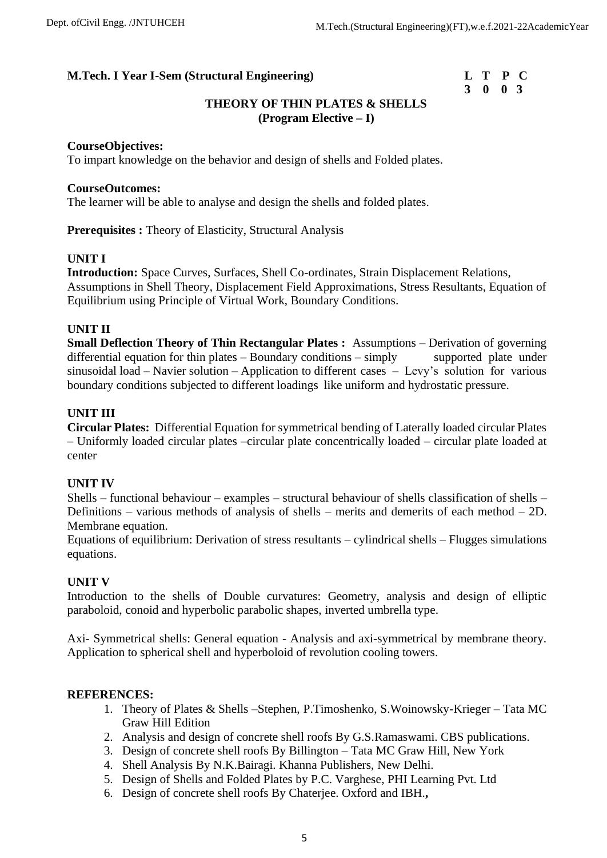# **3 0 0 3**

# **THEORY OF THIN PLATES & SHELLS (Program Elective – I)**

### **CourseObjectives:**

To impart knowledge on the behavior and design of shells and Folded plates.

### **CourseOutcomes:**

The learner will be able to analyse and design the shells and folded plates.

**Prerequisites :** Theory of Elasticity, Structural Analysis

### **UNIT I**

**Introduction:** Space Curves, Surfaces, Shell Co-ordinates, Strain Displacement Relations, Assumptions in Shell Theory, Displacement Field Approximations, Stress Resultants, Equation of Equilibrium using Principle of Virtual Work, Boundary Conditions.

### **UNIT II**

**Small Deflection Theory of Thin Rectangular Plates :** Assumptions – Derivation of governing differential equation for thin plates – Boundary conditions – simply supported plate under sinusoidal load – Navier solution – Application to different cases – Levy's solution for various boundary conditions subjected to different loadings like uniform and hydrostatic pressure.

## **UNIT III**

**Circular Plates:** Differential Equation for symmetrical bending of Laterally loaded circular Plates – Uniformly loaded circular plates –circular plate concentrically loaded – circular plate loaded at center

#### **UNIT IV**

Shells – functional behaviour – examples – structural behaviour of shells classification of shells – Definitions – various methods of analysis of shells – merits and demerits of each method – 2D. Membrane equation.

Equations of equilibrium: Derivation of stress resultants – cylindrical shells – Flugges simulations equations.

## **UNIT V**

Introduction to the shells of Double curvatures: Geometry, analysis and design of elliptic paraboloid, conoid and hyperbolic parabolic shapes, inverted umbrella type.

Axi- Symmetrical shells: General equation - Analysis and axi-symmetrical by membrane theory. Application to spherical shell and hyperboloid of revolution cooling towers.

- 1. Theory of Plates & Shells –Stephen, P.Timoshenko, S.Woinowsky-Krieger Tata MC Graw Hill Edition
- 2. Analysis and design of concrete shell roofs By G.S.Ramaswami. CBS publications.
- 3. Design of concrete shell roofs By Billington Tata MC Graw Hill, New York
- 4. Shell Analysis By N.K.Bairagi. Khanna Publishers, New Delhi.
- 5. Design of Shells and Folded Plates by P.C. Varghese, PHI Learning Pvt. Ltd
- 6. Design of concrete shell roofs By Chaterjee. Oxford and IBH.**,**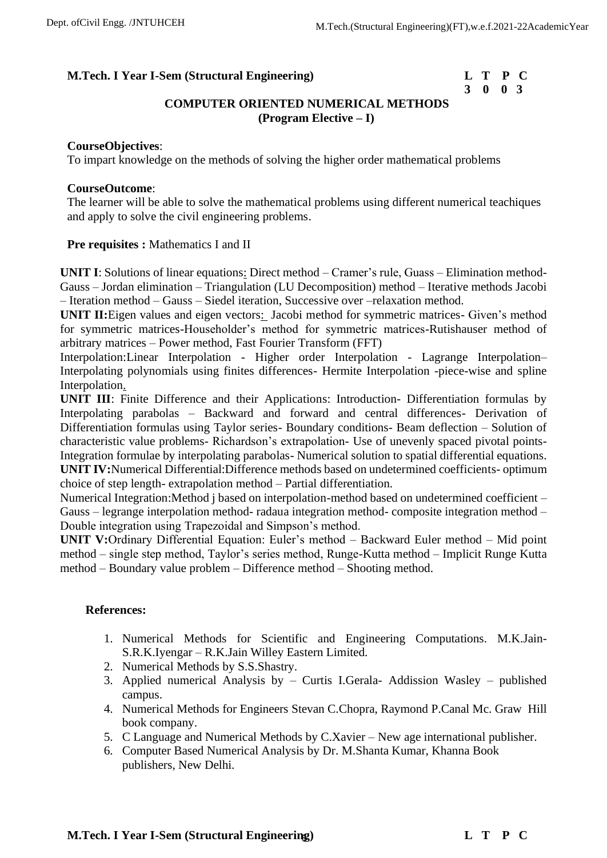# **3 0 0 3**

# **COMPUTER ORIENTED NUMERICAL METHODS (Program Elective – I)**

## **CourseObjectives**:

To impart knowledge on the methods of solving the higher order mathematical problems

## **CourseOutcome**:

The learner will be able to solve the mathematical problems using different numerical teachiques and apply to solve the civil engineering problems.

## Pre requisites : Mathematics I and II

**UNIT I**: Solutions of linear equations: Direct method – Cramer's rule, Guass – Elimination method-Gauss – Jordan elimination – Triangulation (LU Decomposition) method – Iterative methods Jacobi – Iteration method – Gauss – Siedel iteration, Successive over –relaxation method.

**UNIT II:**Eigen values and eigen vectors: Jacobi method for symmetric matrices- Given's method for symmetric matrices-Householder's method for symmetric matrices-Rutishauser method of arbitrary matrices – Power method, Fast Fourier Transform (FFT)

Interpolation:Linear Interpolation - Higher order Interpolation - Lagrange Interpolation– Interpolating polynomials using finites differences- Hermite Interpolation -piece-wise and spline Interpolation.

**UNIT III**: Finite Difference and their Applications: Introduction- Differentiation formulas by Interpolating parabolas – Backward and forward and central differences- Derivation of Differentiation formulas using Taylor series- Boundary conditions- Beam deflection – Solution of characteristic value problems- Richardson's extrapolation- Use of unevenly spaced pivotal points-Integration formulae by interpolating parabolas- Numerical solution to spatial differential equations. **UNIT IV:**Numerical Differential:Difference methods based on undetermined coefficients- optimum choice of step length- extrapolation method – Partial differentiation.

Numerical Integration:Method j based on interpolation-method based on undetermined coefficient – Gauss – legrange interpolation method- radaua integration method- composite integration method – Double integration using Trapezoidal and Simpson's method.

**UNIT V:**Ordinary Differential Equation: Euler's method – Backward Euler method – Mid point method – single step method, Taylor's series method, Runge-Kutta method – Implicit Runge Kutta method – Boundary value problem – Difference method – Shooting method.

# **References:**

- 1. Numerical Methods for Scientific and Engineering Computations. M.K.Jain-S.R.K.Iyengar – R.K.Jain Willey Eastern Limited.
- 2. Numerical Methods by S.S.Shastry.
- 3. Applied numerical Analysis by Curtis I.Gerala- Addission Wasley published campus.
- 4. Numerical Methods for Engineers Stevan C.Chopra, Raymond P.Canal Mc. Graw Hill book company.
- 5. C Language and Numerical Methods by C.Xavier New age international publisher.
- 6. Computer Based Numerical Analysis by Dr. M.Shanta Kumar, Khanna Book publishers, New Delhi.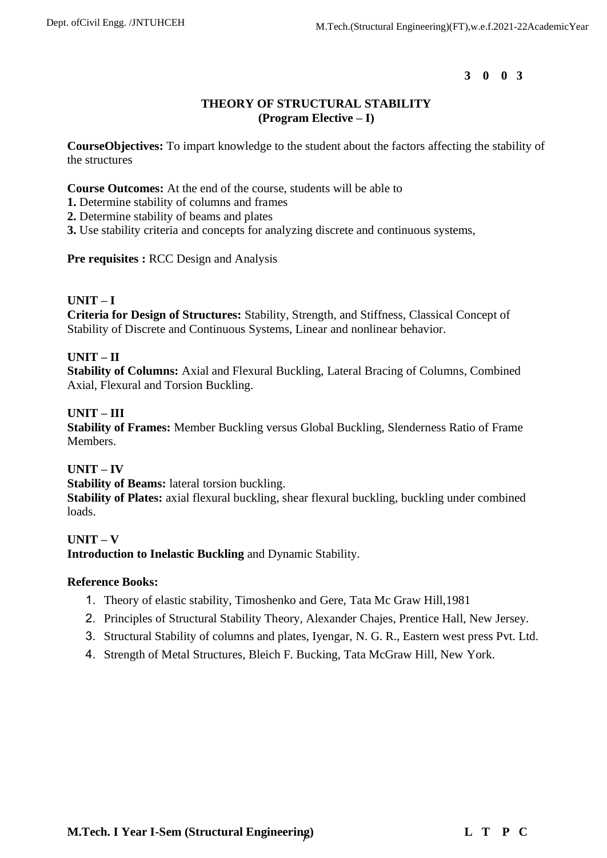# **THEORY OF STRUCTURAL STABILITY (Program Elective – I)**

**CourseObjectives:** To impart knowledge to the student about the factors affecting the stability of the structures

**Course Outcomes:** At the end of the course, students will be able to

- **1.** Determine stability of columns and frames
- **2.** Determine stability of beams and plates
- **3.** Use stability criteria and concepts for analyzing discrete and continuous systems,

**Pre requisites :** RCC Design and Analysis

# **UNIT – I**

**Criteria for Design of Structures:** Stability, Strength, and Stiffness, Classical Concept of Stability of Discrete and Continuous Systems, Linear and nonlinear behavior.

# **UNIT – II**

**Stability of Columns:** Axial and Flexural Buckling, Lateral Bracing of Columns, Combined Axial, Flexural and Torsion Buckling.

## **UNIT – III**

**Stability of Frames:** Member Buckling versus Global Buckling, Slenderness Ratio of Frame Members.

## **UNIT – IV**

**Stability of Beams:** lateral torsion buckling.

**Stability of Plates:** axial flexural buckling, shear flexural buckling, buckling under combined loads.

## **UNIT – V**

**Introduction to Inelastic Buckling** and Dynamic Stability.

## **Reference Books:**

- 1. Theory of elastic stability, Timoshenko and Gere, Tata Mc Graw Hill,1981
- 2. Principles of Structural Stability Theory, Alexander Chajes, Prentice Hall, New Jersey.
- 3. Structural Stability of columns and plates, Iyengar, N. G. R., Eastern west press Pvt. Ltd.
- 4. Strength of Metal Structures, Bleich F. Bucking, Tata McGraw Hill, New York.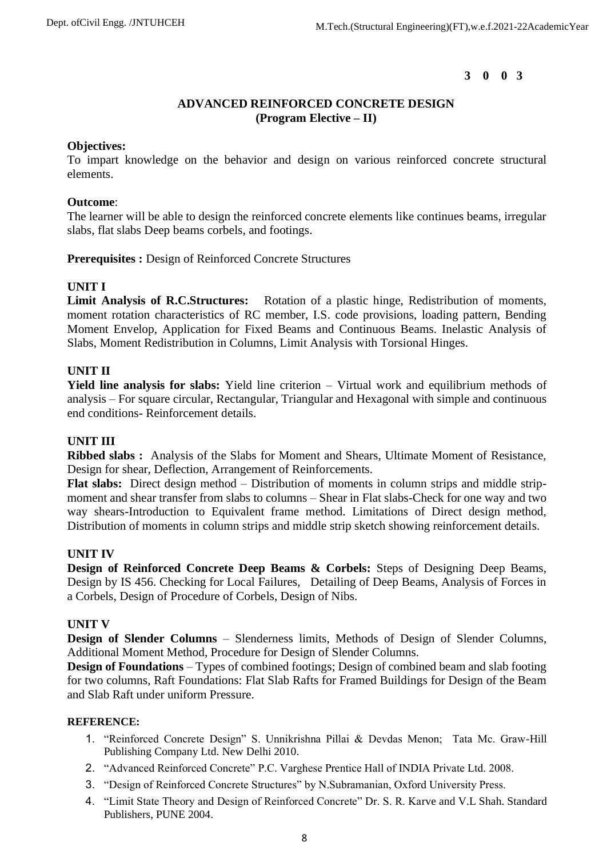## **ADVANCED REINFORCED CONCRETE DESIGN (Program Elective – II)**

### **Objectives:**

To impart knowledge on the behavior and design on various reinforced concrete structural elements.

### **Outcome**:

The learner will be able to design the reinforced concrete elements like continues beams, irregular slabs, flat slabs Deep beams corbels, and footings.

### **Prerequisites :** Design of Reinforced Concrete Structures

## **UNIT I**

**Limit Analysis of R.C.Structures:** Rotation of a plastic hinge, Redistribution of moments, moment rotation characteristics of RC member, I.S. code provisions, loading pattern, Bending Moment Envelop, Application for Fixed Beams and Continuous Beams. Inelastic Analysis of Slabs, Moment Redistribution in Columns, Limit Analysis with Torsional Hinges.

## **UNIT II**

**Yield line analysis for slabs:** Yield line criterion – Virtual work and equilibrium methods of analysis – For square circular, Rectangular, Triangular and Hexagonal with simple and continuous end conditions- Reinforcement details.

## **UNIT III**

**Ribbed slabs :** Analysis of the Slabs for Moment and Shears, Ultimate Moment of Resistance, Design for shear, Deflection, Arrangement of Reinforcements.

**Flat slabs:** Direct design method – Distribution of moments in column strips and middle stripmoment and shear transfer from slabs to columns – Shear in Flat slabs-Check for one way and two way shears-Introduction to Equivalent frame method. Limitations of Direct design method, Distribution of moments in column strips and middle strip sketch showing reinforcement details.

## **UNIT IV**

**Design of Reinforced Concrete Deep Beams & Corbels:** Steps of Designing Deep Beams, Design by IS 456. Checking for Local Failures, Detailing of Deep Beams, Analysis of Forces in a Corbels, Design of Procedure of Corbels, Design of Nibs.

## **UNIT V**

**Design of Slender Columns** – Slenderness limits, Methods of Design of Slender Columns, Additional Moment Method, Procedure for Design of Slender Columns.

**Design of Foundations** – Types of combined footings; Design of combined beam and slab footing for two columns, Raft Foundations: Flat Slab Rafts for Framed Buildings for Design of the Beam and Slab Raft under uniform Pressure.

- 1. "Reinforced Concrete Design" S. Unnikrishna Pillai & Devdas Menon; Tata Mc. Graw-Hill Publishing Company Ltd. New Delhi 2010.
- 2. "Advanced Reinforced Concrete" P.C. Varghese Prentice Hall of INDIA Private Ltd. 2008.
- 3. "Design of Reinforced Concrete Structures" by N.Subramanian, Oxford University Press.
- 4. "Limit State Theory and Design of Reinforced Concrete" Dr. S. R. Karve and V.L Shah. Standard Publishers, PUNE 2004.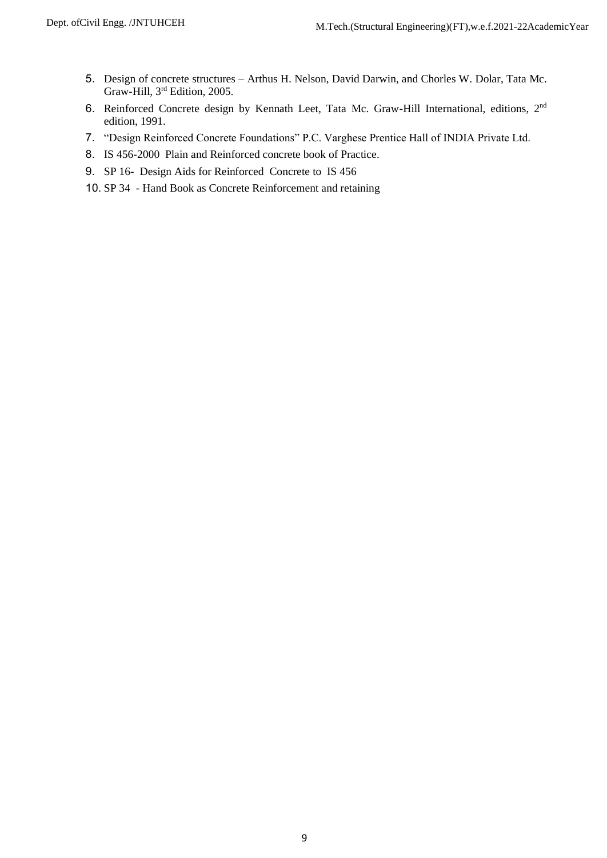- 5. Design of concrete structures Arthus H. Nelson, David Darwin, and Chorles W. Dolar, Tata Mc. Graw-Hill, 3rd Edition, 2005.
- 6. Reinforced Concrete design by Kennath Leet, Tata Mc. Graw-Hill International, editions, 2nd edition, 1991.
- 7. "Design Reinforced Concrete Foundations" P.C. Varghese Prentice Hall of INDIA Private Ltd.
- 8. IS 456-2000 Plain and Reinforced concrete book of Practice.
- 9. SP 16- Design Aids for Reinforced Concrete to IS 456
- 10. SP 34 Hand Book as Concrete Reinforcement and retaining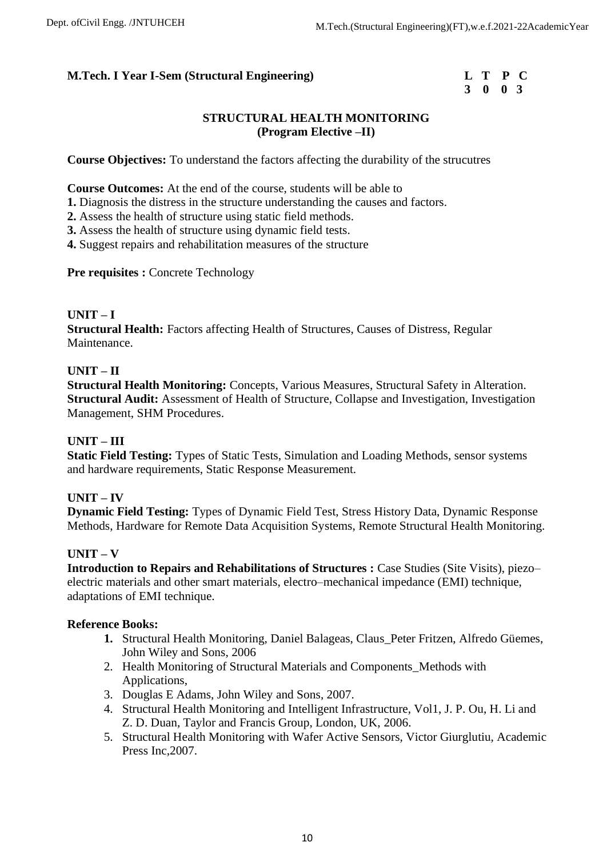# **3 0 0 3**

# **STRUCTURAL HEALTH MONITORING (Program Elective –II)**

**Course Objectives:** To understand the factors affecting the durability of the strucutres

**Course Outcomes:** At the end of the course, students will be able to

**1.** Diagnosis the distress in the structure understanding the causes and factors.

**2.** Assess the health of structure using static field methods.

**3.** Assess the health of structure using dynamic field tests.

**4.** Suggest repairs and rehabilitation measures of the structure

**Pre requisites : Concrete Technology** 

## **UNIT – I**

**Structural Health:** Factors affecting Health of Structures, Causes of Distress, Regular Maintenance.

## **UNIT – II**

**Structural Health Monitoring: Concepts, Various Measures, Structural Safety in Alteration. Structural Audit:** Assessment of Health of Structure, Collapse and Investigation, Investigation Management, SHM Procedures.

## **UNIT – III**

**Static Field Testing:** Types of Static Tests, Simulation and Loading Methods, sensor systems and hardware requirements, Static Response Measurement.

# **UNIT – IV**

**Dynamic Field Testing:** Types of Dynamic Field Test, Stress History Data, Dynamic Response Methods, Hardware for Remote Data Acquisition Systems, Remote Structural Health Monitoring.

## **UNIT – V**

**Introduction to Repairs and Rehabilitations of Structures :** Case Studies (Site Visits), piezo– electric materials and other smart materials, electro–mechanical impedance (EMI) technique, adaptations of EMI technique.

## **Reference Books:**

- **1.** Structural Health Monitoring, Daniel Balageas, Claus\_Peter Fritzen, Alfredo Güemes, John Wiley and Sons, 2006
- 2. Health Monitoring of Structural Materials and Components\_Methods with Applications,
- 3. Douglas E Adams, John Wiley and Sons, 2007.
- 4. Structural Health Monitoring and Intelligent Infrastructure, Vol1, J. P. Ou, H. Li and Z. D. Duan, Taylor and Francis Group, London, UK, 2006.
- 5. Structural Health Monitoring with Wafer Active Sensors, Victor Giurglutiu, Academic Press Inc,2007.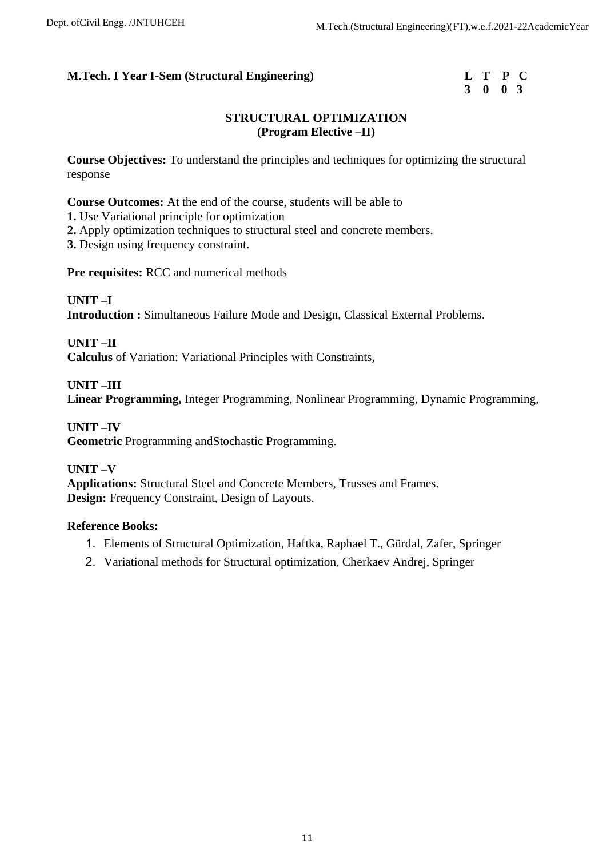|  | L T P C |  |
|--|---------|--|
|  | 3 0 0 3 |  |

# **STRUCTURAL OPTIMIZATION (Program Elective –II)**

**Course Objectives:** To understand the principles and techniques for optimizing the structural response

**Course Outcomes:** At the end of the course, students will be able to

**1.** Use Variational principle for optimization

**2.** Apply optimization techniques to structural steel and concrete members.

**3.** Design using frequency constraint.

**Pre requisites:** RCC and numerical methods

**UNIT –I Introduction :** Simultaneous Failure Mode and Design, Classical External Problems.

**UNIT –II Calculus** of Variation: Variational Principles with Constraints,

**UNIT –III Linear Programming,** Integer Programming, Nonlinear Programming, Dynamic Programming,

**UNIT –IV Geometric** Programming andStochastic Programming.

**UNIT –V Applications:** Structural Steel and Concrete Members, Trusses and Frames. **Design:** Frequency Constraint, Design of Layouts.

# **Reference Books:**

- 1. Elements of Structural Optimization, Haftka, Raphael T., Gürdal, Zafer, Springer
- 2. Variational methods for Structural optimization, Cherkaev Andrej, Springer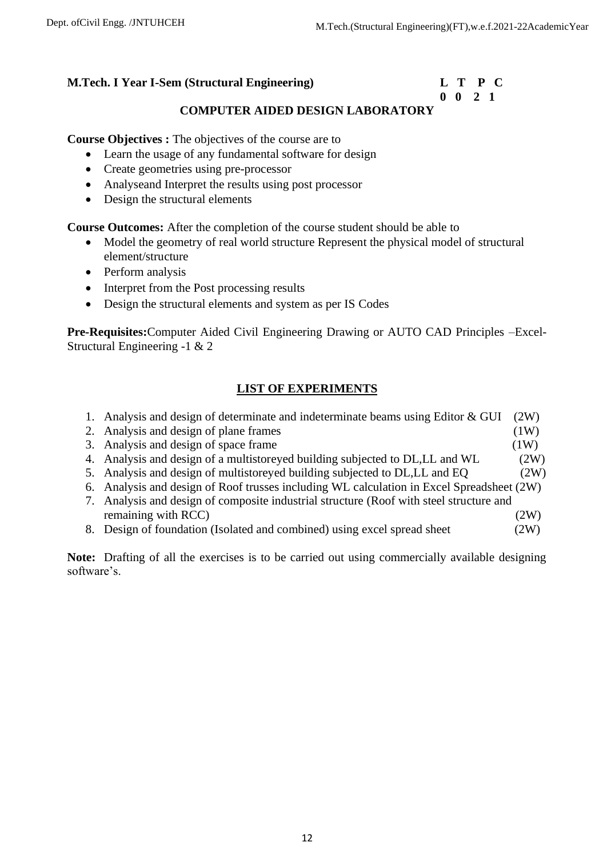# **0 0 2 1**

# **COMPUTER AIDED DESIGN LABORATORY**

**Course Objectives :** The objectives of the course are to

- Learn the usage of any fundamental software for design
- Create geometries using pre-processor
- Analyseand Interpret the results using post processor
- Design the structural elements

**Course Outcomes:** After the completion of the course student should be able to

- Model the geometry of real world structure Represent the physical model of structural element/structure
- Perform analysis
- Interpret from the Post processing results
- Design the structural elements and system as per IS Codes

**Pre-Requisites:**Computer Aided Civil Engineering Drawing or AUTO CAD Principles –Excel-Structural Engineering -1 & 2

# **LIST OF EXPERIMENTS**

|  |  |  |  |  | 1. Analysis and design of determinate and indeterminate beams using Editor & GUI $(2W)$ |  |  |  |
|--|--|--|--|--|-----------------------------------------------------------------------------------------|--|--|--|
|  |  |  |  |  |                                                                                         |  |  |  |

- 2. Analysis and design of plane frames (1W)
	- 3. Analysis and design of space frame (1W) 4. Analysis and design of a multistoreyed building subjected to DL,LL and WL (2W)
	- 5. Analysis and design of multistoreyed building subjected to DL,LL and EQ (2W)
	- 6. Analysis and design of Roof trusses including WL calculation in Excel Spreadsheet (2W)
	- 7. Analysis and design of composite industrial structure (Roof with steel structure and remaining with RCC) (2W)
	- 8. Design of foundation (Isolated and combined) using excel spread sheet (2W)

**Note:** Drafting of all the exercises is to be carried out using commercially available designing software's.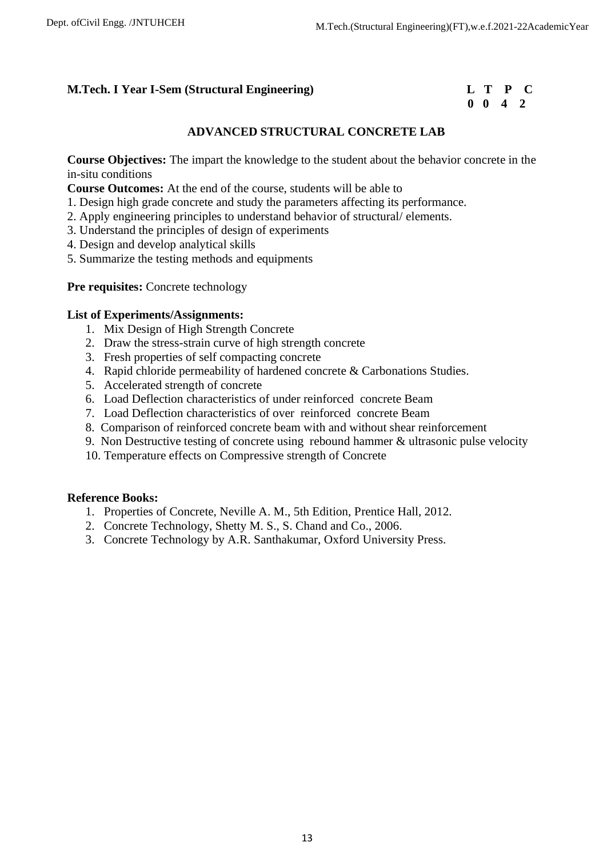|  | L T P C         |  |
|--|-----------------|--|
|  | $0 \t0 \t4 \t2$ |  |

# **ADVANCED STRUCTURAL CONCRETE LAB**

**Course Objectives:** The impart the knowledge to the student about the behavior concrete in the in-situ conditions

**Course Outcomes:** At the end of the course, students will be able to

- 1. Design high grade concrete and study the parameters affecting its performance.
- 2. Apply engineering principles to understand behavior of structural/ elements.
- 3. Understand the principles of design of experiments
- 4. Design and develop analytical skills
- 5. Summarize the testing methods and equipments

### **Pre requisites:** Concrete technology

### **List of Experiments/Assignments:**

- 1. Mix Design of High Strength Concrete
- 2. Draw the stress-strain curve of high strength concrete
- 3. Fresh properties of self compacting concrete
- 4. Rapid chloride permeability of hardened concrete & Carbonations Studies.
- 5. Accelerated strength of concrete
- 6. Load Deflection characteristics of under reinforced concrete Beam
- 7. Load Deflection characteristics of over reinforced concrete Beam
- 8. Comparison of reinforced concrete beam with and without shear reinforcement
- 9. Non Destructive testing of concrete using rebound hammer & ultrasonic pulse velocity
- 10. Temperature effects on Compressive strength of Concrete

## **Reference Books:**

- 1. Properties of Concrete, Neville A. M., 5th Edition, Prentice Hall, 2012.
- 2. Concrete Technology, Shetty M. S., S. Chand and Co., 2006.
- 3. Concrete Technology by A.R. Santhakumar, Oxford University Press.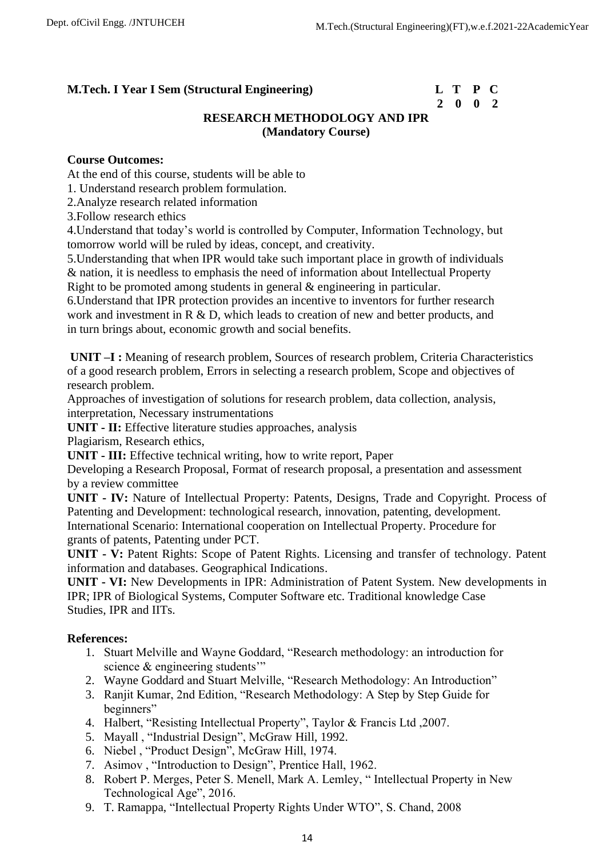# **2 0 0 2**

# **RESEARCH METHODOLOGY AND IPR (Mandatory Course)**

## **Course Outcomes:**

At the end of this course, students will be able to

1. Understand research problem formulation.

2.Analyze research related information

3.Follow research ethics

4.Understand that today's world is controlled by Computer, Information Technology, but tomorrow world will be ruled by ideas, concept, and creativity.

5.Understanding that when IPR would take such important place in growth of individuals & nation, it is needless to emphasis the need of information about Intellectual Property Right to be promoted among students in general & engineering in particular.

6.Understand that IPR protection provides an incentive to inventors for further research work and investment in R & D, which leads to creation of new and better products, and in turn brings about, economic growth and social benefits.

**UNIT –I:** Meaning of research problem, Sources of research problem, Criteria Characteristics of a good research problem, Errors in selecting a research problem, Scope and objectives of research problem.

Approaches of investigation of solutions for research problem, data collection, analysis, interpretation, Necessary instrumentations

**UNIT - II:** Effective literature studies approaches, analysis

Plagiarism, Research ethics,

**UNIT - III:** Effective technical writing, how to write report, Paper

Developing a Research Proposal, Format of research proposal, a presentation and assessment by a review committee

**UNIT - IV:** Nature of Intellectual Property: Patents, Designs, Trade and Copyright. Process of Patenting and Development: technological research, innovation, patenting, development. International Scenario: International cooperation on Intellectual Property. Procedure for grants of patents, Patenting under PCT.

**UNIT - V:** Patent Rights: Scope of Patent Rights. Licensing and transfer of technology. Patent information and databases. Geographical Indications.

**UNIT - VI:** New Developments in IPR: Administration of Patent System. New developments in IPR; IPR of Biological Systems, Computer Software etc. Traditional knowledge Case Studies, IPR and IITs.

# **References:**

- 1. Stuart Melville and Wayne Goddard, "Research methodology: an introduction for science & engineering students"
- 2. Wayne Goddard and Stuart Melville, "Research Methodology: An Introduction"
- 3. Ranjit Kumar, 2nd Edition, "Research Methodology: A Step by Step Guide for beginners"
- 4. Halbert, "Resisting Intellectual Property", Taylor & Francis Ltd ,2007.
- 5. Mayall , "Industrial Design", McGraw Hill, 1992.
- 6. Niebel , "Product Design", McGraw Hill, 1974.
- 7. Asimov , "Introduction to Design", Prentice Hall, 1962.
- 8. Robert P. Merges, Peter S. Menell, Mark A. Lemley, " Intellectual Property in New Technological Age", 2016.
- 9. T. Ramappa, "Intellectual Property Rights Under WTO", S. Chand, 2008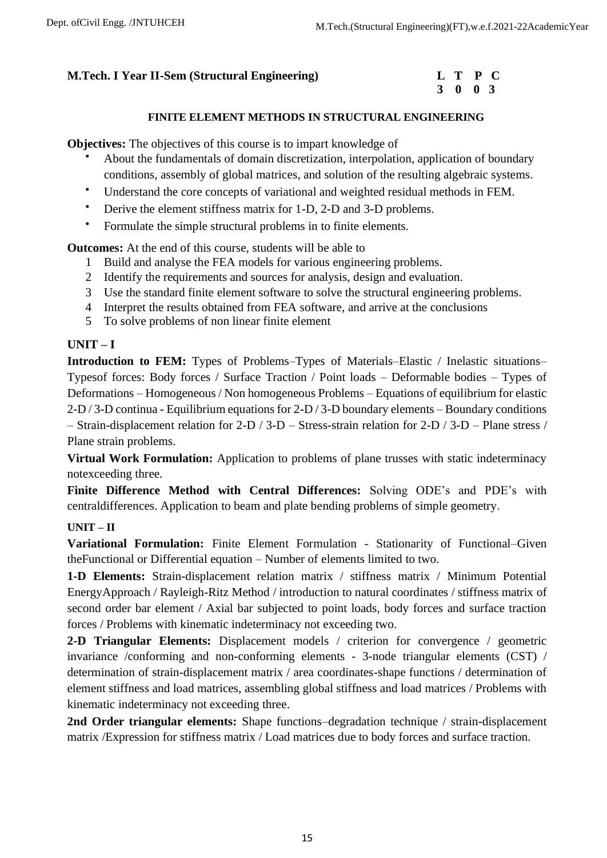# **3 0 0 3**

# **FINITE ELEMENT METHODS IN STRUCTURAL ENGINEERING**

**Objectives:** The objectives of this course is to impart knowledge of

- About the fundamentals of domain discretization, interpolation, application of boundary conditions, assembly of global matrices, and solution of the resulting algebraic systems.
- Understand the core concepts of variational and weighted residual methods in FEM.
- Derive the element stiffness matrix for 1-D, 2-D and 3-D problems.
- Formulate the simple structural problems in to finite elements.

**Outcomes:** At the end of this course, students will be able to

- 1 Build and analyse the FEA models for various engineering problems.
- 2 Identify the requirements and sources for analysis, design and evaluation.
- 3 Use the standard finite element software to solve the structural engineering problems.
- 4 Interpret the results obtained from FEA software, and arrive at the conclusions
- 5 To solve problems of non linear finite element

## **UNIT – I**

**Introduction to FEM:** Types of Problems–Types of Materials–Elastic / Inelastic situations– Typesof forces: Body forces / Surface Traction / Point loads – Deformable bodies – Types of Deformations – Homogeneous / Non homogeneous Problems – Equations of equilibrium for elastic 2-D / 3-D continua - Equilibrium equations for 2-D / 3-D boundary elements – Boundary conditions – Strain-displacement relation for 2-D / 3-D – Stress-strain relation for 2-D / 3-D – Plane stress / Plane strain problems.

**Virtual Work Formulation:** Application to problems of plane trusses with static indeterminacy notexceeding three.

**Finite Difference Method with Central Differences:** Solving ODE's and PDE's with centraldifferences. Application to beam and plate bending problems of simple geometry.

## **UNIT – II**

**Variational Formulation:** Finite Element Formulation - Stationarity of Functional–Given theFunctional or Differential equation – Number of elements limited to two.

**1-D Elements:** Strain-displacement relation matrix / stiffness matrix / Minimum Potential EnergyApproach / Rayleigh-Ritz Method / introduction to natural coordinates / stiffness matrix of second order bar element / Axial bar subjected to point loads, body forces and surface traction forces / Problems with kinematic indeterminacy not exceeding two.

**2-D Triangular Elements:** Displacement models / criterion for convergence / geometric invariance /conforming and non-conforming elements - 3-node triangular elements (CST) / determination of strain-displacement matrix / area coordinates-shape functions / determination of element stiffness and load matrices, assembling global stiffness and load matrices / Problems with kinematic indeterminacy not exceeding three.

**2nd Order triangular elements:** Shape functions–degradation technique / strain-displacement matrix /Expression for stiffness matrix / Load matrices due to body forces and surface traction.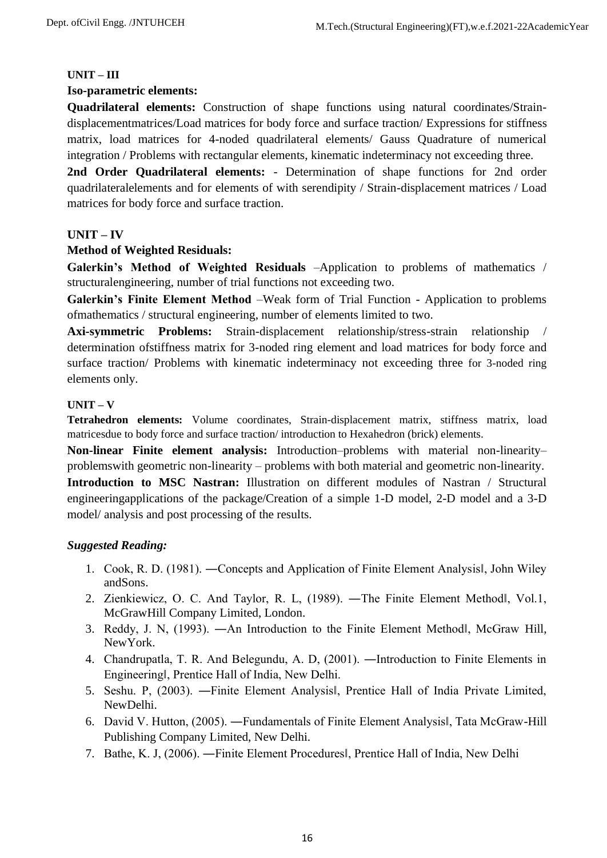## **UNIT – III**

## **Iso-parametric elements:**

**Quadrilateral elements:** Construction of shape functions using natural coordinates/Straindisplacementmatrices/Load matrices for body force and surface traction/ Expressions for stiffness matrix, load matrices for 4-noded quadrilateral elements/ Gauss Quadrature of numerical integration / Problems with rectangular elements, kinematic indeterminacy not exceeding three.

**2nd Order Quadrilateral elements:** - Determination of shape functions for 2nd order quadrilateralelements and for elements of with serendipity / Strain-displacement matrices / Load matrices for body force and surface traction.

# **UNIT – IV**

# **Method of Weighted Residuals:**

**Galerkin's Method of Weighted Residuals** –Application to problems of mathematics / structuralengineering, number of trial functions not exceeding two.

**Galerkin's Finite Element Method** –Weak form of Trial Function - Application to problems ofmathematics / structural engineering, number of elements limited to two.

**Axi-symmetric Problems:** Strain-displacement relationship/stress-strain relationship / determination ofstiffness matrix for 3-noded ring element and load matrices for body force and surface traction/ Problems with kinematic indeterminacy not exceeding three for 3-noded ring elements only.

## **UNIT – V**

**Tetrahedron elements:** Volume coordinates, Strain-displacement matrix, stiffness matrix, load matricesdue to body force and surface traction/ introduction to Hexahedron (brick) elements.

**Non-linear Finite element analysis:** Introduction–problems with material non-linearity– problemswith geometric non-linearity – problems with both material and geometric non-linearity.

**Introduction to MSC Nastran:** Illustration on different modules of Nastran / Structural engineeringapplications of the package/Creation of a simple 1-D model, 2-D model and a 3-D model/ analysis and post processing of the results.

# *Suggested Reading:*

- 1. Cook, R. D. (1981). ―Concepts and Application of Finite Element Analysis‖, John Wiley andSons.
- 2. Zienkiewicz, O. C. And Taylor, R. L, (1989). ―The Finite Element Method‖, Vol.1, McGrawHill Company Limited, London.
- 3. Reddy, J. N, (1993). ―An Introduction to the Finite Element Method‖, McGraw Hill, NewYork.
- 4. Chandrupatla, T. R. And Belegundu, A. D, (2001). ―Introduction to Finite Elements in Engineering‖, Prentice Hall of India, New Delhi.
- 5. Seshu. P, (2003). ―Finite Element Analysis‖, Prentice Hall of India Private Limited, NewDelhi.
- 6. David V. Hutton, (2005). ―Fundamentals of Finite Element Analysis‖, Tata McGraw-Hill Publishing Company Limited, New Delhi.
- 7. Bathe, K. J, (2006). ―Finite Element Procedures‖, Prentice Hall of India, New Delhi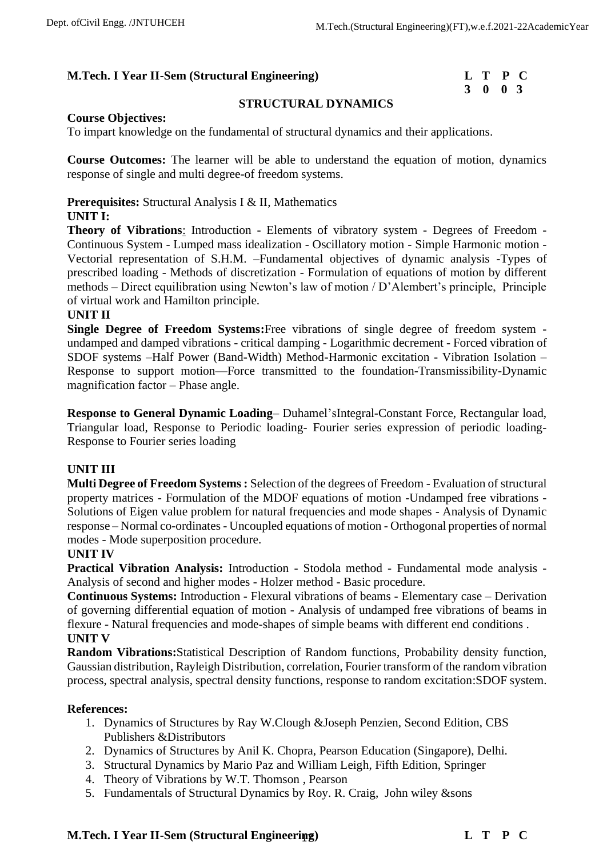# **3 0 0 3**

## **STRUCTURAL DYNAMICS**

### **Course Objectives:**

To impart knowledge on the fundamental of structural dynamics and their applications.

**Course Outcomes:** The learner will be able to understand the equation of motion, dynamics response of single and multi degree-of freedom systems.

# **Prerequisites:** Structural Analysis I & II, Mathematics

## **UNIT I:**

**Theory of Vibrations**: Introduction - Elements of vibratory system - Degrees of Freedom - Continuous System - Lumped mass idealization - Oscillatory motion - Simple Harmonic motion - Vectorial representation of S.H.M. –Fundamental objectives of dynamic analysis -Types of prescribed loading - Methods of discretization - Formulation of equations of motion by different methods – Direct equilibration using Newton's law of motion / D'Alembert's principle, Principle of virtual work and Hamilton principle.

## **UNIT II**

**Single Degree of Freedom Systems:**Free vibrations of single degree of freedom system undamped and damped vibrations - critical damping - Logarithmic decrement - Forced vibration of SDOF systems –Half Power (Band-Width) Method-Harmonic excitation - Vibration Isolation – Response to support motion—Force transmitted to the foundation-Transmissibility-Dynamic magnification factor – Phase angle.

**Response to General Dynamic Loading**– Duhamel'sIntegral-Constant Force, Rectangular load, Triangular load, Response to Periodic loading- Fourier series expression of periodic loading-Response to Fourier series loading

## **UNIT III**

**Multi Degree of Freedom Systems :** Selection of the degrees of Freedom - Evaluation of structural property matrices - Formulation of the MDOF equations of motion -Undamped free vibrations - Solutions of Eigen value problem for natural frequencies and mode shapes - Analysis of Dynamic response – Normal co-ordinates - Uncoupled equations of motion - Orthogonal properties of normal modes - Mode superposition procedure.

## **UNIT IV**

**Practical Vibration Analysis:** Introduction - Stodola method - Fundamental mode analysis - Analysis of second and higher modes - Holzer method - Basic procedure.

**Continuous Systems:** Introduction - Flexural vibrations of beams - Elementary case – Derivation of governing differential equation of motion - Analysis of undamped free vibrations of beams in flexure - Natural frequencies and mode-shapes of simple beams with different end conditions . **UNIT V**

**Random Vibrations:**Statistical Description of Random functions, Probability density function, Gaussian distribution, Rayleigh Distribution, correlation, Fourier transform of the random vibration process, spectral analysis, spectral density functions, response to random excitation:SDOF system.

## **References:**

- 1. Dynamics of Structures by Ray W.Clough &Joseph Penzien, Second Edition, CBS Publishers &Distributors
- 2. Dynamics of Structures by Anil K. Chopra, Pearson Education (Singapore), Delhi.
- 3. Structural Dynamics by Mario Paz and William Leigh, Fifth Edition, Springer
- 4. Theory of Vibrations by W.T. Thomson , Pearson
- 5. Fundamentals of Structural Dynamics by Roy. R. Craig, John wiley &sons

# 17 **M.Tech. I Year II-Sem (Structural Engineering) L T P C**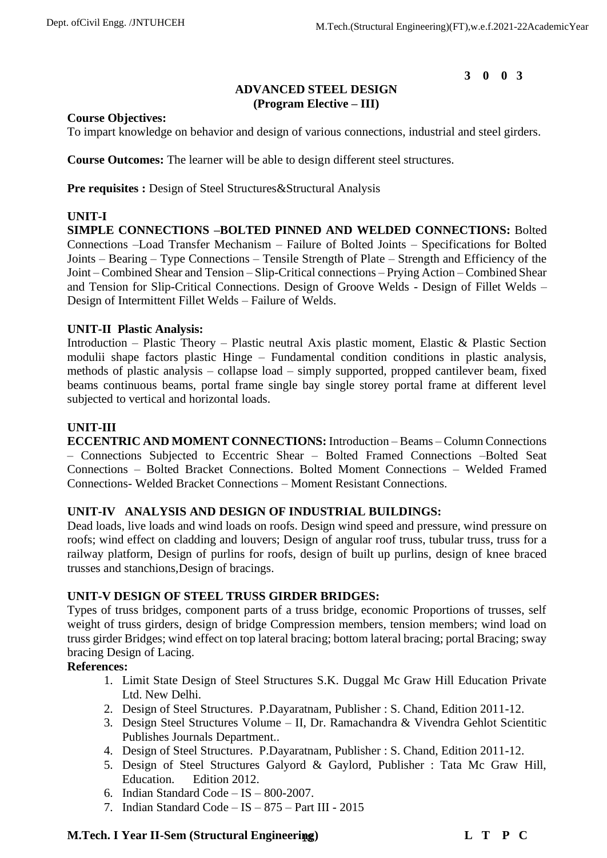# **ADVANCED STEEL DESIGN (Program Elective – III)**

## **Course Objectives:**

To impart knowledge on behavior and design of various connections, industrial and steel girders.

**Course Outcomes:** The learner will be able to design different steel structures.

**Pre requisites :** Design of Steel Structures&Structural Analysis

# **UNIT-I**

**SIMPLE CONNECTIONS –BOLTED PINNED AND WELDED CONNECTIONS:** Bolted Connections –Load Transfer Mechanism – Failure of Bolted Joints – Specifications for Bolted Joints – Bearing – Type Connections – Tensile Strength of Plate – Strength and Efficiency of the Joint – Combined Shear and Tension – Slip-Critical connections – Prying Action – Combined Shear and Tension for Slip-Critical Connections. Design of Groove Welds - Design of Fillet Welds – Design of Intermittent Fillet Welds – Failure of Welds.

## **UNIT-II Plastic Analysis:**

Introduction – Plastic Theory – Plastic neutral Axis plastic moment, Elastic & Plastic Section modulii shape factors plastic Hinge – Fundamental condition conditions in plastic analysis, methods of plastic analysis – collapse load – simply supported, propped cantilever beam, fixed beams continuous beams, portal frame single bay single storey portal frame at different level subjected to vertical and horizontal loads.

## **UNIT-III**

**ECCENTRIC AND MOMENT CONNECTIONS:** Introduction – Beams – Column Connections – Connections Subjected to Eccentric Shear – Bolted Framed Connections –Bolted Seat Connections – Bolted Bracket Connections. Bolted Moment Connections – Welded Framed Connections- Welded Bracket Connections – Moment Resistant Connections.

# **UNIT-IV ANALYSIS AND DESIGN OF INDUSTRIAL BUILDINGS:**

Dead loads, live loads and wind loads on roofs. Design wind speed and pressure, wind pressure on roofs; wind effect on cladding and louvers; Design of angular roof truss, tubular truss, truss for a railway platform, Design of purlins for roofs, design of built up purlins, design of knee braced trusses and stanchions,Design of bracings.

# **UNIT-V DESIGN OF STEEL TRUSS GIRDER BRIDGES:**

Types of truss bridges, component parts of a truss bridge, economic Proportions of trusses, self weight of truss girders, design of bridge Compression members, tension members; wind load on truss girder Bridges; wind effect on top lateral bracing; bottom lateral bracing; portal Bracing; sway bracing Design of Lacing.

## **References:**

- 1. Limit State Design of Steel Structures S.K. Duggal Mc Graw Hill Education Private Ltd. New Delhi.
- 2. Design of Steel Structures. P.Dayaratnam, Publisher : S. Chand, Edition 2011-12.
- 3. Design Steel Structures Volume II, Dr. Ramachandra & Vivendra Gehlot Scientitic Publishes Journals Department..
- 4. Design of Steel Structures. P.Dayaratnam, Publisher : S. Chand, Edition 2011-12.
- 5. Design of Steel Structures Galyord & Gaylord, Publisher : Tata Mc Graw Hill, Education. Edition 2012.
- 6. Indian Standard Code IS 800-2007.
- 7. Indian Standard Code IS 875 Part III 2015

# 18 **M.Tech. I Year II-Sem (Structural Engineering) L T P C**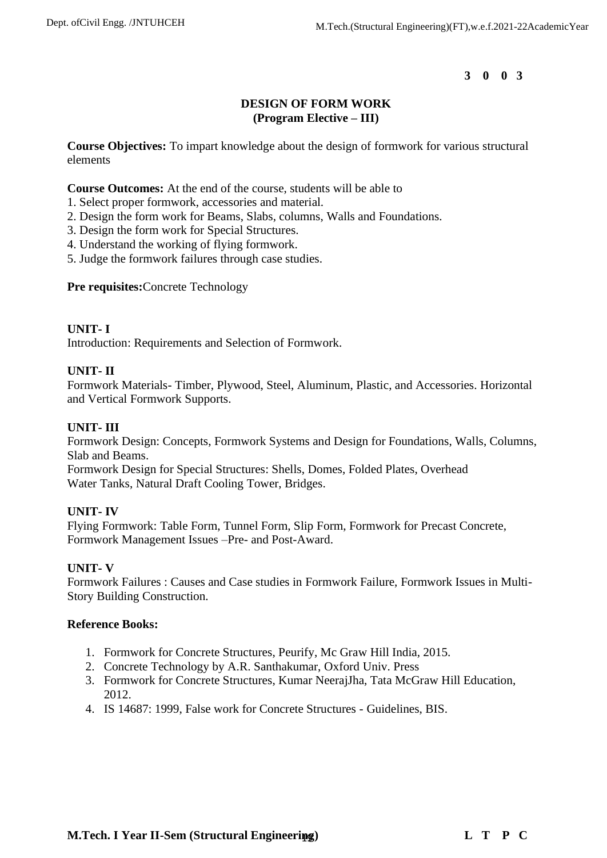# **DESIGN OF FORM WORK (Program Elective – III)**

**Course Objectives:** To impart knowledge about the design of formwork for various structural elements

**Course Outcomes:** At the end of the course, students will be able to

- 1. Select proper formwork, accessories and material.
- 2. Design the form work for Beams, Slabs, columns, Walls and Foundations.
- 3. Design the form work for Special Structures.
- 4. Understand the working of flying formwork.
- 5. Judge the formwork failures through case studies.

**Pre requisites:**Concrete Technology

## **UNIT- I**

Introduction: Requirements and Selection of Formwork.

# **UNIT- II**

Formwork Materials- Timber, Plywood, Steel, Aluminum, Plastic, and Accessories. Horizontal and Vertical Formwork Supports.

# **UNIT- III**

Formwork Design: Concepts, Formwork Systems and Design for Foundations, Walls, Columns, Slab and Beams.

Formwork Design for Special Structures: Shells, Domes, Folded Plates, Overhead Water Tanks, Natural Draft Cooling Tower, Bridges.

# **UNIT- IV**

Flying Formwork: Table Form, Tunnel Form, Slip Form, Formwork for Precast Concrete, Formwork Management Issues –Pre- and Post-Award.

# **UNIT- V**

Formwork Failures : Causes and Case studies in Formwork Failure, Formwork Issues in Multi-Story Building Construction.

## **Reference Books:**

- 1. Formwork for Concrete Structures, Peurify, Mc Graw Hill India, 2015.
- 2. Concrete Technology by A.R. Santhakumar, Oxford Univ. Press
- 3. Formwork for Concrete Structures, Kumar NeerajJha, Tata McGraw Hill Education, 2012.
- 4. IS 14687: 1999, False work for Concrete Structures Guidelines, BIS.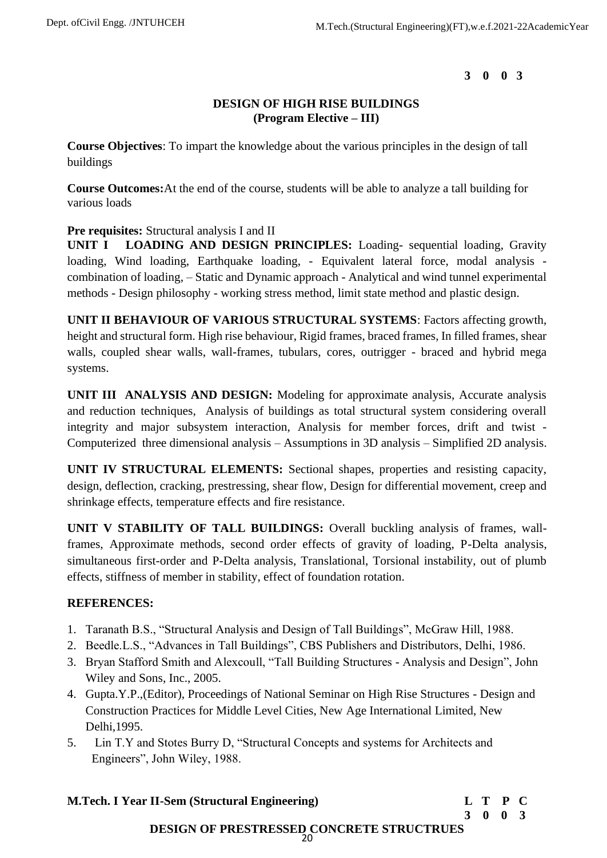# **DESIGN OF HIGH RISE BUILDINGS (Program Elective – III)**

**Course Objectives**: To impart the knowledge about the various principles in the design of tall buildings

**Course Outcomes:**At the end of the course, students will be able to analyze a tall building for various loads

# **Pre requisites:** Structural analysis I and II

**UNIT I LOADING AND DESIGN PRINCIPLES:** Loading- sequential loading, Gravity loading, Wind loading, Earthquake loading, - Equivalent lateral force, modal analysis combination of loading, – Static and Dynamic approach - Analytical and wind tunnel experimental methods - Design philosophy - working stress method, limit state method and plastic design.

**UNIT II BEHAVIOUR OF VARIOUS STRUCTURAL SYSTEMS**: Factors affecting growth, height and structural form. High rise behaviour, Rigid frames, braced frames, In filled frames, shear walls, coupled shear walls, wall-frames, tubulars, cores, outrigger - braced and hybrid mega systems.

**UNIT III ANALYSIS AND DESIGN:** Modeling for approximate analysis, Accurate analysis and reduction techniques, Analysis of buildings as total structural system considering overall integrity and major subsystem interaction, Analysis for member forces, drift and twist - Computerized three dimensional analysis – Assumptions in 3D analysis – Simplified 2D analysis.

**UNIT IV STRUCTURAL ELEMENTS:** Sectional shapes, properties and resisting capacity, design, deflection, cracking, prestressing, shear flow, Design for differential movement, creep and shrinkage effects, temperature effects and fire resistance.

**UNIT V STABILITY OF TALL BUILDINGS:** Overall buckling analysis of frames, wallframes, Approximate methods, second order effects of gravity of loading, P-Delta analysis, simultaneous first-order and P-Delta analysis, Translational, Torsional instability, out of plumb effects, stiffness of member in stability, effect of foundation rotation.

# **REFERENCES:**

- 1. Taranath B.S., "Structural Analysis and Design of Tall Buildings", McGraw Hill, 1988.
- 2. Beedle.L.S., "Advances in Tall Buildings", CBS Publishers and Distributors, Delhi, 1986.
- 3. Bryan Stafford Smith and Alexcoull, "Tall Building Structures Analysis and Design", John Wiley and Sons, Inc., 2005.
- 4. Gupta.Y.P.,(Editor), Proceedings of National Seminar on High Rise Structures Design and Construction Practices for Middle Level Cities, New Age International Limited, New Delhi,1995.
- 5. Lin T.Y and Stotes Burry D, "Structural Concepts and systems for Architects and Engineers", John Wiley, 1988.

20 **M.Tech. I Year II-Sem (Structural Engineering) L T P C 3 0 0 3 DESIGN OF PRESTRESSED CONCRETE STRUCTRUES**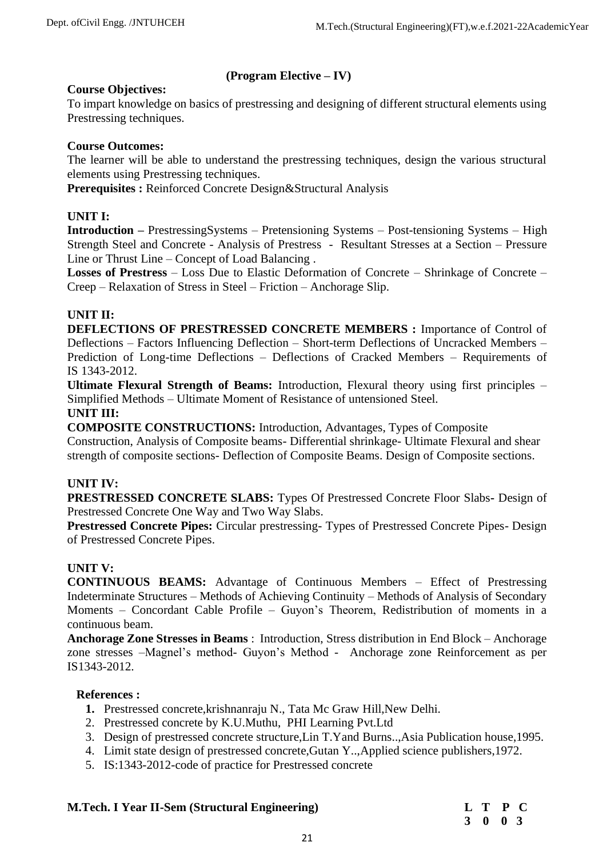# **(Program Elective – IV)**

# **Course Objectives:**

To impart knowledge on basics of prestressing and designing of different structural elements using Prestressing techniques.

# **Course Outcomes:**

The learner will be able to understand the prestressing techniques, design the various structural elements using Prestressing techniques.

**Prerequisites :** Reinforced Concrete Design&Structural Analysis

# **UNIT I:**

**Introduction –** PrestressingSystems – Pretensioning Systems – Post-tensioning Systems – High Strength Steel and Concrete - Analysis of Prestress - Resultant Stresses at a Section – Pressure Line or Thrust Line – Concept of Load Balancing .

**Losses of Prestress** – Loss Due to Elastic Deformation of Concrete – Shrinkage of Concrete – Creep – Relaxation of Stress in Steel – Friction – Anchorage Slip.

# **UNIT II:**

**DEFLECTIONS OF PRESTRESSED CONCRETE MEMBERS :** Importance of Control of Deflections – Factors Influencing Deflection – Short-term Deflections of Uncracked Members – Prediction of Long-time Deflections – Deflections of Cracked Members – Requirements of IS 1343-2012.

**Ultimate Flexural Strength of Beams:** Introduction, Flexural theory using first principles – Simplified Methods – Ultimate Moment of Resistance of untensioned Steel.

# **UNIT III:**

**COMPOSITE CONSTRUCTIONS:** Introduction, Advantages, Types of Composite

Construction, Analysis of Composite beams- Differential shrinkage- Ultimate Flexural and shear strength of composite sections- Deflection of Composite Beams. Design of Composite sections.

## **UNIT IV:**

**PRESTRESSED CONCRETE SLABS:** Types Of Prestressed Concrete Floor Slabs**-** Design of Prestressed Concrete One Way and Two Way Slabs.

**Prestressed Concrete Pipes:** Circular prestressing- Types of Prestressed Concrete Pipes- Design of Prestressed Concrete Pipes.

# **UNIT V:**

**CONTINUOUS BEAMS:** Advantage of Continuous Members – Effect of Prestressing Indeterminate Structures – Methods of Achieving Continuity – Methods of Analysis of Secondary Moments – Concordant Cable Profile – Guyon's Theorem, Redistribution of moments in a continuous beam.

**Anchorage Zone Stresses in Beams** : Introduction, Stress distribution in End Block – Anchorage zone stresses –Magnel's method- Guyon's Method - Anchorage zone Reinforcement as per IS1343-2012.

## **References :**

- **1.** Prestressed concrete,krishnanraju N., Tata Mc Graw Hill,New Delhi.
- 2. Prestressed concrete by K.U.Muthu, PHI Learning Pvt.Ltd
- 3. Design of prestressed concrete structure,Lin T.Yand Burns..,Asia Publication house,1995.
- 4. Limit state design of prestressed concrete,Gutan Y..,Applied science publishers,1972.
- 5. IS:1343-2012-code of practice for Prestressed concrete

## **M.Tech. I Year II-Sem (Structural Engineering)**

|  | L T P C                     |  |
|--|-----------------------------|--|
|  | $3 \quad 0 \quad 0 \quad 3$ |  |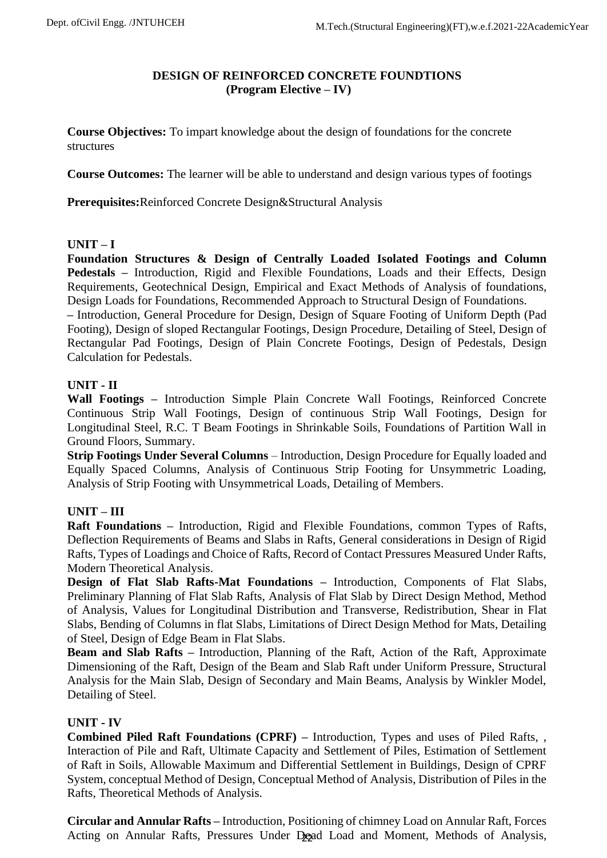# **DESIGN OF REINFORCED CONCRETE FOUNDTIONS (Program Elective – IV)**

**Course Objectives:** To impart knowledge about the design of foundations for the concrete structures

**Course Outcomes:** The learner will be able to understand and design various types of footings

**Prerequisites:**Reinforced Concrete Design&Structural Analysis

# **UNIT – I**

**Foundation Structures & Design of Centrally Loaded Isolated Footings and Column Pedestals –** Introduction, Rigid and Flexible Foundations, Loads and their Effects, Design Requirements, Geotechnical Design, Empirical and Exact Methods of Analysis of foundations, Design Loads for Foundations, Recommended Approach to Structural Design of Foundations. **–** Introduction, General Procedure for Design, Design of Square Footing of Uniform Depth (Pad Footing), Design of sloped Rectangular Footings, Design Procedure, Detailing of Steel, Design of Rectangular Pad Footings, Design of Plain Concrete Footings, Design of Pedestals, Design Calculation for Pedestals.

# **UNIT - II**

**Wall Footings –** Introduction Simple Plain Concrete Wall Footings, Reinforced Concrete Continuous Strip Wall Footings, Design of continuous Strip Wall Footings, Design for Longitudinal Steel, R.C. T Beam Footings in Shrinkable Soils, Foundations of Partition Wall in Ground Floors, Summary.

**Strip Footings Under Several Columns** – Introduction, Design Procedure for Equally loaded and Equally Spaced Columns, Analysis of Continuous Strip Footing for Unsymmetric Loading, Analysis of Strip Footing with Unsymmetrical Loads, Detailing of Members.

# **UNIT – III**

**Raft Foundations –** Introduction, Rigid and Flexible Foundations, common Types of Rafts, Deflection Requirements of Beams and Slabs in Rafts, General considerations in Design of Rigid Rafts, Types of Loadings and Choice of Rafts, Record of Contact Pressures Measured Under Rafts, Modern Theoretical Analysis.

**Design of Flat Slab Rafts-Mat Foundations –** Introduction, Components of Flat Slabs, Preliminary Planning of Flat Slab Rafts, Analysis of Flat Slab by Direct Design Method, Method of Analysis, Values for Longitudinal Distribution and Transverse, Redistribution, Shear in Flat Slabs, Bending of Columns in flat Slabs, Limitations of Direct Design Method for Mats, Detailing of Steel, Design of Edge Beam in Flat Slabs.

**Beam and Slab Rafts –** Introduction, Planning of the Raft, Action of the Raft, Approximate Dimensioning of the Raft, Design of the Beam and Slab Raft under Uniform Pressure, Structural Analysis for the Main Slab, Design of Secondary and Main Beams, Analysis by Winkler Model, Detailing of Steel.

# **UNIT - IV**

**Combined Piled Raft Foundations (CPRF) –** Introduction, Types and uses of Piled Rafts, , Interaction of Pile and Raft, Ultimate Capacity and Settlement of Piles, Estimation of Settlement of Raft in Soils, Allowable Maximum and Differential Settlement in Buildings, Design of CPRF System, conceptual Method of Design, Conceptual Method of Analysis, Distribution of Piles in the Rafts, Theoretical Methods of Analysis.

Acting on Annular Rafts, Pressures Under Dead Load and Moment, Methods of Analysis, **Circular and Annular Rafts –** Introduction, Positioning of chimney Load on Annular Raft, Forces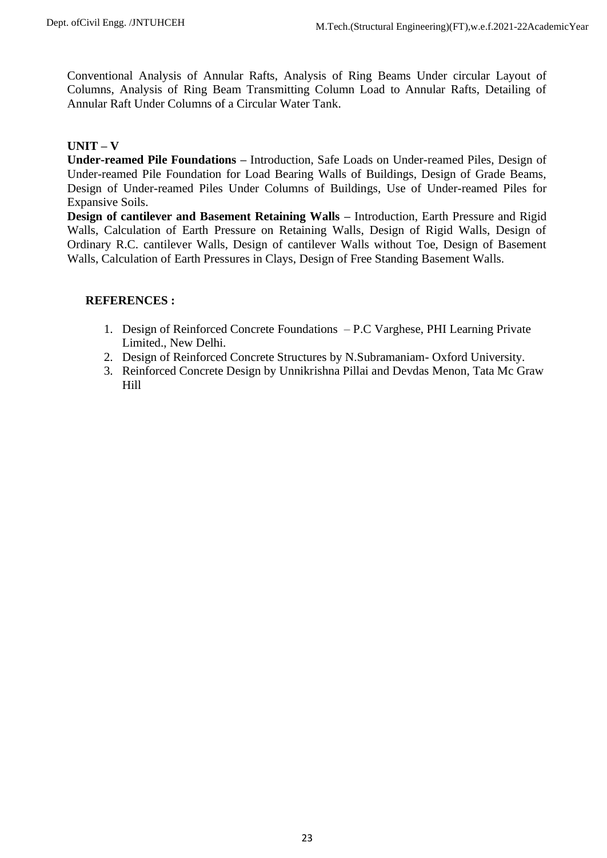Conventional Analysis of Annular Rafts, Analysis of Ring Beams Under circular Layout of Columns, Analysis of Ring Beam Transmitting Column Load to Annular Rafts, Detailing of Annular Raft Under Columns of a Circular Water Tank.

# **UNIT – V**

**Under-reamed Pile Foundations –** Introduction, Safe Loads on Under-reamed Piles, Design of Under-reamed Pile Foundation for Load Bearing Walls of Buildings, Design of Grade Beams, Design of Under-reamed Piles Under Columns of Buildings, Use of Under-reamed Piles for Expansive Soils.

**Design of cantilever and Basement Retaining Walls –** Introduction, Earth Pressure and Rigid Walls, Calculation of Earth Pressure on Retaining Walls, Design of Rigid Walls, Design of Ordinary R.C. cantilever Walls, Design of cantilever Walls without Toe, Design of Basement Walls, Calculation of Earth Pressures in Clays, Design of Free Standing Basement Walls.

- 1. Design of Reinforced Concrete Foundations P.C Varghese, PHI Learning Private Limited., New Delhi.
- 2. Design of Reinforced Concrete Structures by N.Subramaniam- Oxford University.
- 3. Reinforced Concrete Design by Unnikrishna Pillai and Devdas Menon, Tata Mc Graw Hill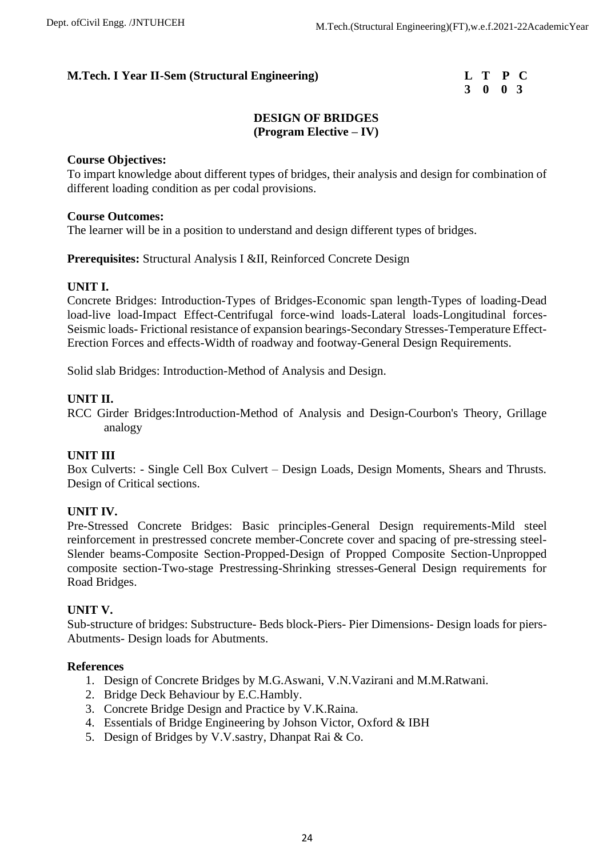# **3 0 0 3**

# **DESIGN OF BRIDGES (Program Elective – IV)**

## **Course Objectives:**

To impart knowledge about different types of bridges, their analysis and design for combination of different loading condition as per codal provisions.

## **Course Outcomes:**

The learner will be in a position to understand and design different types of bridges.

**Prerequisites:** Structural Analysis I &II, Reinforced Concrete Design

## **UNIT I.**

Concrete Bridges: Introduction-Types of Bridges-Economic span length-Types of loading-Dead load-live load-Impact Effect-Centrifugal force-wind loads-Lateral loads-Longitudinal forces-Seismic loads- Frictional resistance of expansion bearings-Secondary Stresses-Temperature Effect-Erection Forces and effects-Width of roadway and footway-General Design Requirements.

Solid slab Bridges: Introduction-Method of Analysis and Design.

## **UNIT II.**

RCC Girder Bridges:Introduction-Method of Analysis and Design-Courbon's Theory, Grillage analogy

# **UNIT III**

Box Culverts: - Single Cell Box Culvert – Design Loads, Design Moments, Shears and Thrusts. Design of Critical sections.

# **UNIT IV.**

Pre-Stressed Concrete Bridges: Basic principles-General Design requirements-Mild steel reinforcement in prestressed concrete member-Concrete cover and spacing of pre-stressing steel-Slender beams-Composite Section-Propped-Design of Propped Composite Section-Unpropped composite section-Two-stage Prestressing-Shrinking stresses-General Design requirements for Road Bridges.

## **UNIT V.**

Sub-structure of bridges: Substructure- Beds block-Piers- Pier Dimensions- Design loads for piers-Abutments- Design loads for Abutments.

## **References**

- 1. Design of Concrete Bridges by M.G.Aswani, V.N.Vazirani and M.M.Ratwani.
- 2. Bridge Deck Behaviour by E.C.Hambly.
- 3. Concrete Bridge Design and Practice by V.K.Raina.
- 4. Essentials of Bridge Engineering by Johson Victor, Oxford & IBH
- 5. Design of Bridges by V.V.sastry, Dhanpat Rai & Co.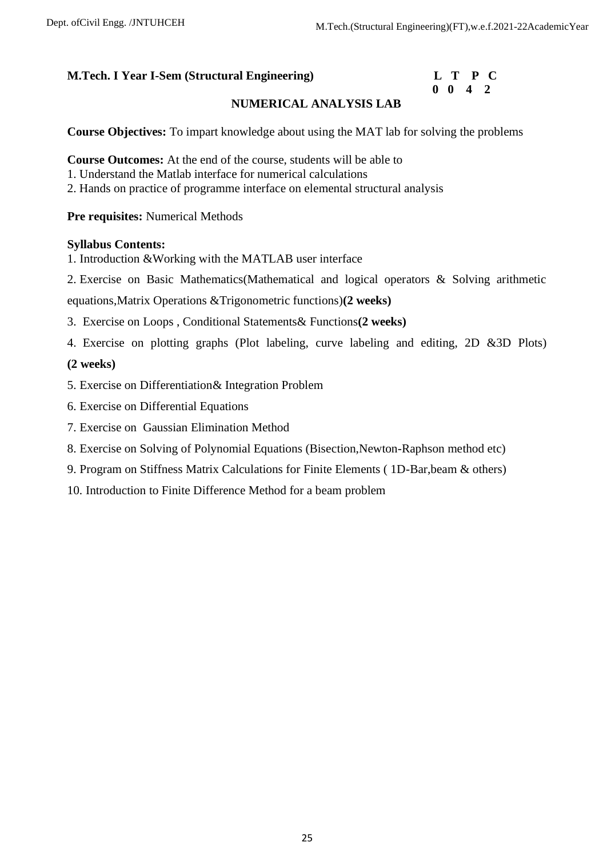# **0 0 4 2**

# **NUMERICAL ANALYSIS LAB**

**Course Objectives:** To impart knowledge about using the MAT lab for solving the problems

**Course Outcomes:** At the end of the course, students will be able to

- 1. Understand the Matlab interface for numerical calculations
- 2. Hands on practice of programme interface on elemental structural analysis

**Pre requisites:** Numerical Methods

## **Syllabus Contents:**

- 1. Introduction &Working with the MATLAB user interface
- 2. Exercise on Basic Mathematics(Mathematical and logical operators & Solving arithmetic

equations,Matrix Operations &Trigonometric functions)**(2 weeks)**

- 3. Exercise on Loops , Conditional Statements& Functions**(2 weeks)**
- 4. Exercise on plotting graphs (Plot labeling, curve labeling and editing, 2D &3D Plots)

# **(2 weeks)**

- 5. Exercise on Differentiation& Integration Problem
- 6. Exercise on Differential Equations
- 7. Exercise on Gaussian Elimination Method
- 8. Exercise on Solving of Polynomial Equations (Bisection,Newton-Raphson method etc)
- 9. Program on Stiffness Matrix Calculations for Finite Elements ( 1D-Bar,beam & others)
- 10. Introduction to Finite Difference Method for a beam problem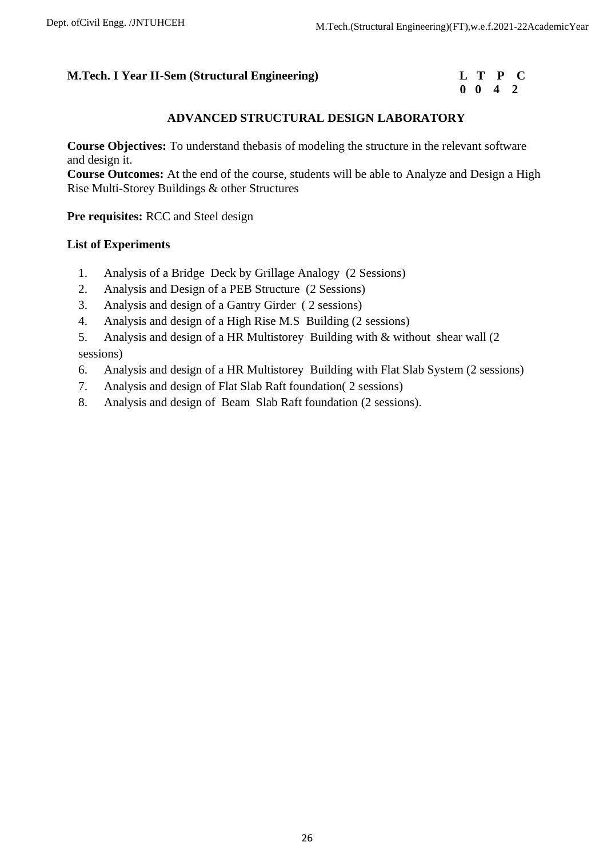# **0 0 4 2**

# **ADVANCED STRUCTURAL DESIGN LABORATORY**

**Course Objectives:** To understand thebasis of modeling the structure in the relevant software and design it.

**Course Outcomes:** At the end of the course, students will be able to Analyze and Design a High Rise Multi-Storey Buildings & other Structures

**Pre requisites:** RCC and Steel design

## **List of Experiments**

- 1. Analysis of a Bridge Deck by Grillage Analogy (2 Sessions)
- 2. Analysis and Design of a PEB Structure (2 Sessions)
- 3. Analysis and design of a Gantry Girder ( 2 sessions)
- 4. Analysis and design of a High Rise M.S Building (2 sessions)
- 5. Analysis and design of a HR Multistorey Building with & without shear wall (2 sessions)
- 6. Analysis and design of a HR Multistorey Building with Flat Slab System (2 sessions)
- 7. Analysis and design of Flat Slab Raft foundation( 2 sessions)
- 8. Analysis and design of Beam Slab Raft foundation (2 sessions).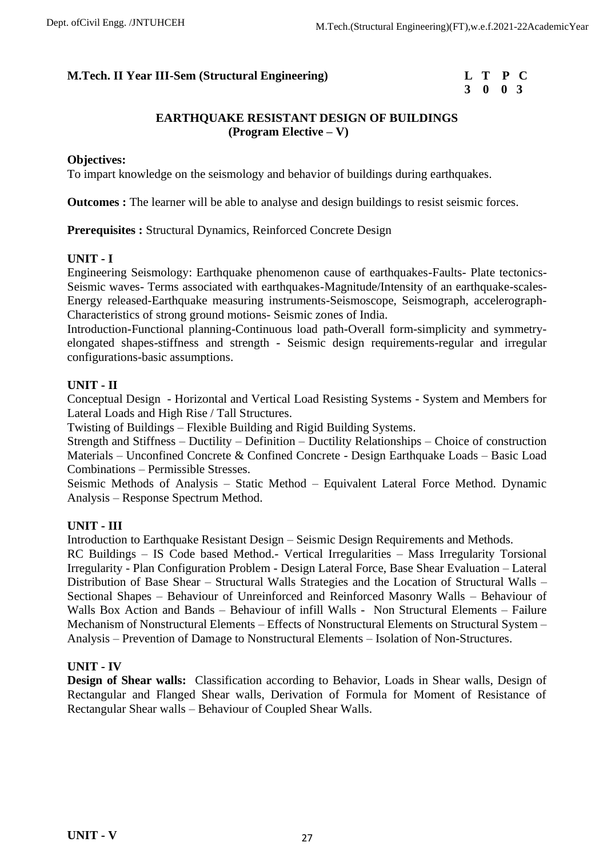# **3 0 0 3**

# **EARTHQUAKE RESISTANT DESIGN OF BUILDINGS (Program Elective – V)**

## **Objectives:**

To impart knowledge on the seismology and behavior of buildings during earthquakes.

**Outcomes :** The learner will be able to analyse and design buildings to resist seismic forces.

**Prerequisites :** Structural Dynamics, Reinforced Concrete Design

## **UNIT - I**

Engineering Seismology: Earthquake phenomenon cause of earthquakes-Faults- Plate tectonics-Seismic waves- Terms associated with earthquakes-Magnitude/Intensity of an earthquake-scales-Energy released-Earthquake measuring instruments-Seismoscope, Seismograph, accelerograph-Characteristics of strong ground motions- Seismic zones of India.

Introduction-Functional planning-Continuous load path-Overall form-simplicity and symmetryelongated shapes-stiffness and strength - Seismic design requirements-regular and irregular configurations-basic assumptions.

# **UNIT - II**

Conceptual Design - Horizontal and Vertical Load Resisting Systems - System and Members for Lateral Loads and High Rise / Tall Structures.

Twisting of Buildings – Flexible Building and Rigid Building Systems.

Strength and Stiffness – Ductility – Definition – Ductility Relationships – Choice of construction Materials – Unconfined Concrete & Confined Concrete - Design Earthquake Loads – Basic Load Combinations – Permissible Stresses.

Seismic Methods of Analysis – Static Method – Equivalent Lateral Force Method. Dynamic Analysis – Response Spectrum Method.

# **UNIT - III**

Introduction to Earthquake Resistant Design – Seismic Design Requirements and Methods.

RC Buildings – IS Code based Method.- Vertical Irregularities – Mass Irregularity Torsional Irregularity - Plan Configuration Problem - Design Lateral Force, Base Shear Evaluation – Lateral Distribution of Base Shear – Structural Walls Strategies and the Location of Structural Walls – Sectional Shapes – Behaviour of Unreinforced and Reinforced Masonry Walls – Behaviour of Walls Box Action and Bands – Behaviour of infill Walls - Non Structural Elements – Failure Mechanism of Nonstructural Elements – Effects of Nonstructural Elements on Structural System – Analysis – Prevention of Damage to Nonstructural Elements – Isolation of Non-Structures.

# **UNIT - IV**

**Design of Shear walls:** Classification according to Behavior, Loads in Shear walls, Design of Rectangular and Flanged Shear walls, Derivation of Formula for Moment of Resistance of Rectangular Shear walls – Behaviour of Coupled Shear Walls.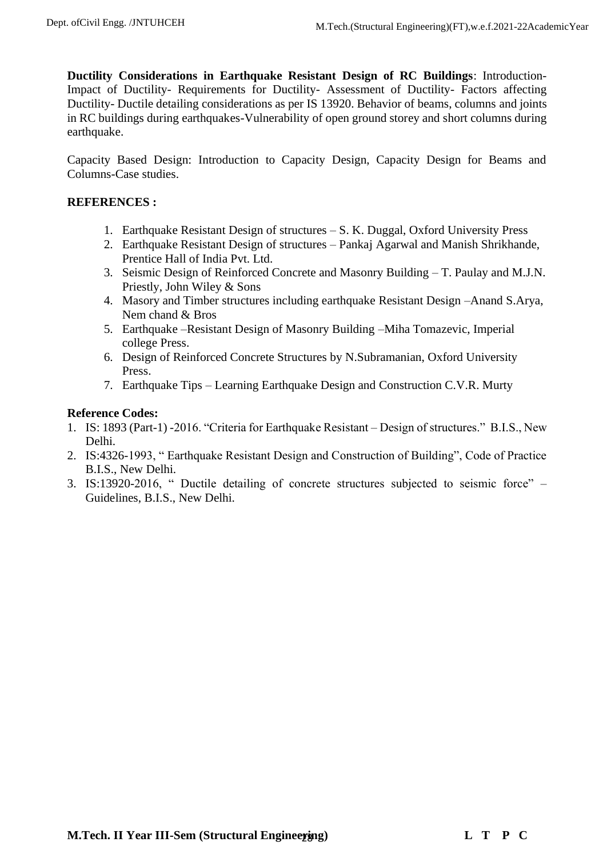**Ductility Considerations in Earthquake Resistant Design of RC Buildings**: Introduction-Impact of Ductility- Requirements for Ductility- Assessment of Ductility- Factors affecting Ductility- Ductile detailing considerations as per IS 13920. Behavior of beams, columns and joints in RC buildings during earthquakes-Vulnerability of open ground storey and short columns during earthquake.

Capacity Based Design: Introduction to Capacity Design, Capacity Design for Beams and Columns-Case studies.

# **REFERENCES :**

- 1. Earthquake Resistant Design of structures S. K. Duggal, Oxford University Press
- 2. Earthquake Resistant Design of structures Pankaj Agarwal and Manish Shrikhande, Prentice Hall of India Pvt. Ltd.
- 3. Seismic Design of Reinforced Concrete and Masonry Building T. Paulay and M.J.N. Priestly, John Wiley & Sons
- 4. Masory and Timber structures including earthquake Resistant Design –Anand S.Arya, Nem chand & Bros
- 5. Earthquake –Resistant Design of Masonry Building –Miha Tomazevic, Imperial college Press.
- 6. Design of Reinforced Concrete Structures by N.Subramanian, Oxford University Press.
- 7. Earthquake Tips Learning Earthquake Design and Construction C.V.R. Murty

## **Reference Codes:**

- 1. IS: 1893 (Part-1) -2016. "Criteria for Earthquake Resistant Design of structures." B.I.S., New Delhi.
- 2. IS:4326-1993, " Earthquake Resistant Design and Construction of Building", Code of Practice B.I.S., New Delhi.
- 3. IS:13920-2016, " Ductile detailing of concrete structures subjected to seismic force" Guidelines, B.I.S., New Delhi.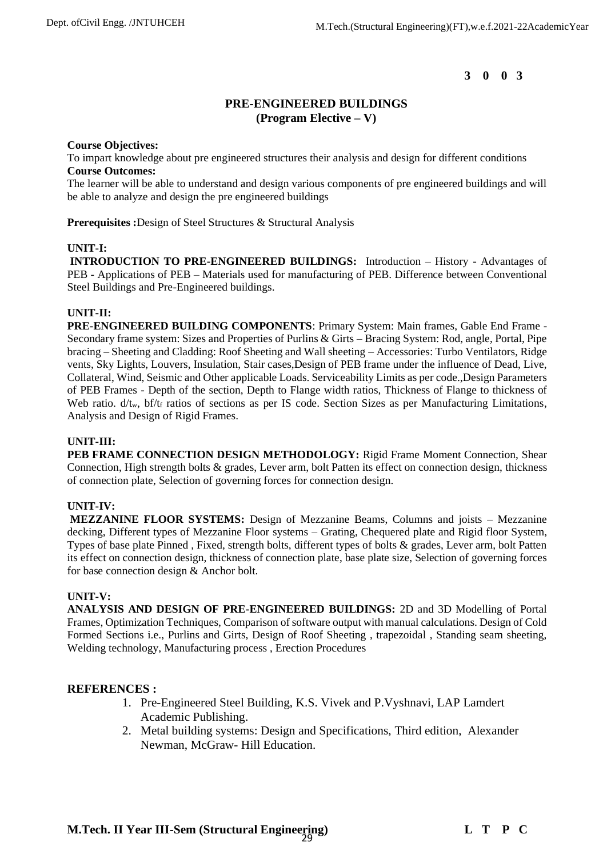## **PRE-ENGINEERED BUILDINGS (Program Elective – V)**

#### **Course Objectives:**

To impart knowledge about pre engineered structures their analysis and design for different conditions **Course Outcomes:** 

The learner will be able to understand and design various components of pre engineered buildings and will be able to analyze and design the pre engineered buildings

**Prerequisites :**Design of Steel Structures & Structural Analysis

#### **UNIT-I:**

**INTRODUCTION TO PRE-ENGINEERED BUILDINGS:** Introduction – History - Advantages of PEB - Applications of PEB – Materials used for manufacturing of PEB. Difference between Conventional Steel Buildings and Pre-Engineered buildings.

#### **UNIT-II:**

**PRE-ENGINEERED BUILDING COMPONENTS**: Primary System: Main frames, Gable End Frame - Secondary frame system: Sizes and Properties of Purlins & Girts – Bracing System: Rod, angle, Portal, Pipe bracing – Sheeting and Cladding: Roof Sheeting and Wall sheeting – Accessories: Turbo Ventilators, Ridge vents, Sky Lights, Louvers, Insulation, Stair cases,Design of PEB frame under the influence of Dead, Live, Collateral, Wind, Seismic and Other applicable Loads. Serviceability Limits as per code.,Design Parameters of PEB Frames - Depth of the section, Depth to Flange width ratios, Thickness of Flange to thickness of Web ratio.  $d/t_w$ , bf/ $t_f$  ratios of sections as per IS code. Section Sizes as per Manufacturing Limitations, Analysis and Design of Rigid Frames.

#### **UNIT-III:**

**PEB FRAME CONNECTION DESIGN METHODOLOGY:** Rigid Frame Moment Connection, Shear Connection, High strength bolts & grades, Lever arm, bolt Patten its effect on connection design, thickness of connection plate, Selection of governing forces for connection design.

#### **UNIT-IV:**

**MEZZANINE FLOOR SYSTEMS:** Design of Mezzanine Beams, Columns and joists – Mezzanine decking, Different types of Mezzanine Floor systems – Grating, Chequered plate and Rigid floor System, Types of base plate Pinned , Fixed, strength bolts, different types of bolts & grades, Lever arm, bolt Patten its effect on connection design, thickness of connection plate, base plate size, Selection of governing forces for base connection design & Anchor bolt.

#### **UNIT-V:**

**ANALYSIS AND DESIGN OF PRE-ENGINEERED BUILDINGS:** 2D and 3D Modelling of Portal Frames, Optimization Techniques, Comparison of software output with manual calculations. Design of Cold Formed Sections i.e., Purlins and Girts, Design of Roof Sheeting , trapezoidal , Standing seam sheeting, Welding technology, Manufacturing process , Erection Procedures

- 1. Pre-Engineered Steel Building, K.S. Vivek and P.Vyshnavi, LAP Lamdert Academic Publishing.
- 2. Metal building systems: Design and Specifications, Third edition, Alexander Newman, McGraw- Hill Education.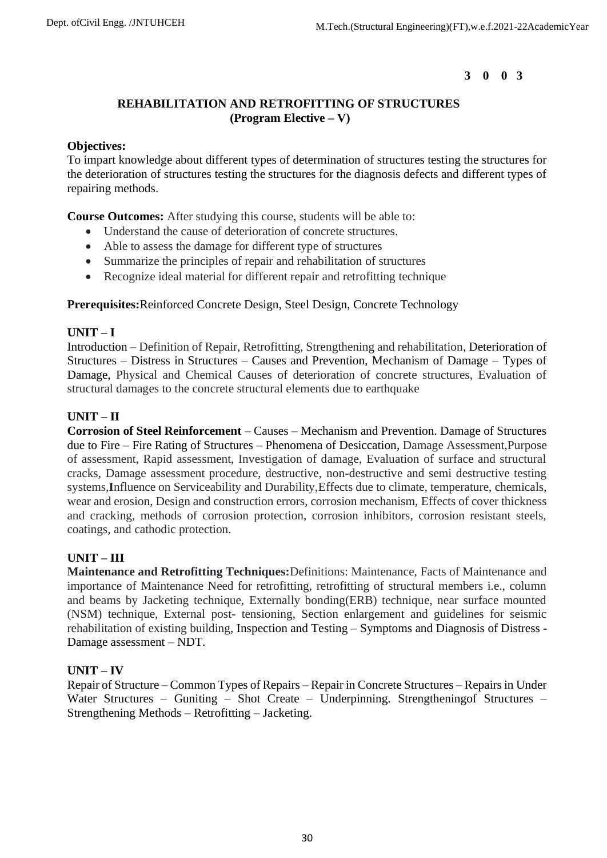# **REHABILITATION AND RETROFITTING OF STRUCTURES (Program Elective – V)**

## **Objectives:**

To impart knowledge about different types of determination of structures testing the structures for the deterioration of structures testing the structures for the diagnosis defects and different types of repairing methods.

**Course Outcomes:** After studying this course, students will be able to:

- Understand the cause of deterioration of concrete structures.
- Able to assess the damage for different type of structures
- Summarize the principles of repair and rehabilitation of structures
- Recognize ideal material for different repair and retrofitting technique

**Prerequisites:**Reinforced Concrete Design, Steel Design, Concrete Technology

# **UNIT – I**

Introduction – Definition of Repair, Retrofitting, Strengthening and rehabilitation, Deterioration of Structures – Distress in Structures – Causes and Prevention, Mechanism of Damage – Types of Damage, Physical and Chemical Causes of deterioration of concrete structures, Evaluation of structural damages to the concrete structural elements due to earthquake

# **UNIT – II**

**Corrosion of Steel Reinforcement** – Causes – Mechanism and Prevention. Damage of Structures due to Fire – Fire Rating of Structures – Phenomena of Desiccation, Damage Assessment,Purpose of assessment, Rapid assessment, Investigation of damage, Evaluation of surface and structural cracks, Damage assessment procedure, destructive, non-destructive and semi destructive testing systems,**I**nfluence on Serviceability and Durability,Effects due to climate, temperature, chemicals, wear and erosion, Design and construction errors, corrosion mechanism, Effects of cover thickness and cracking, methods of corrosion protection, corrosion inhibitors, corrosion resistant steels, coatings, and cathodic protection.

# **UNIT – III**

**Maintenance and Retrofitting Techniques:**Definitions: Maintenance, Facts of Maintenance and importance of Maintenance Need for retrofitting, retrofitting of structural members i.e., column and beams by Jacketing technique, Externally bonding(ERB) technique, near surface mounted (NSM) technique, External post- tensioning, Section enlargement and guidelines for seismic rehabilitation of existing building, Inspection and Testing – Symptoms and Diagnosis of Distress - Damage assessment – NDT.

# **UNIT – IV**

Repair of Structure – Common Types of Repairs – Repair in Concrete Structures – Repairs in Under Water Structures – Guniting – Shot Create – Underpinning. Strengthening of Structures – Strengthening Methods – Retrofitting – Jacketing.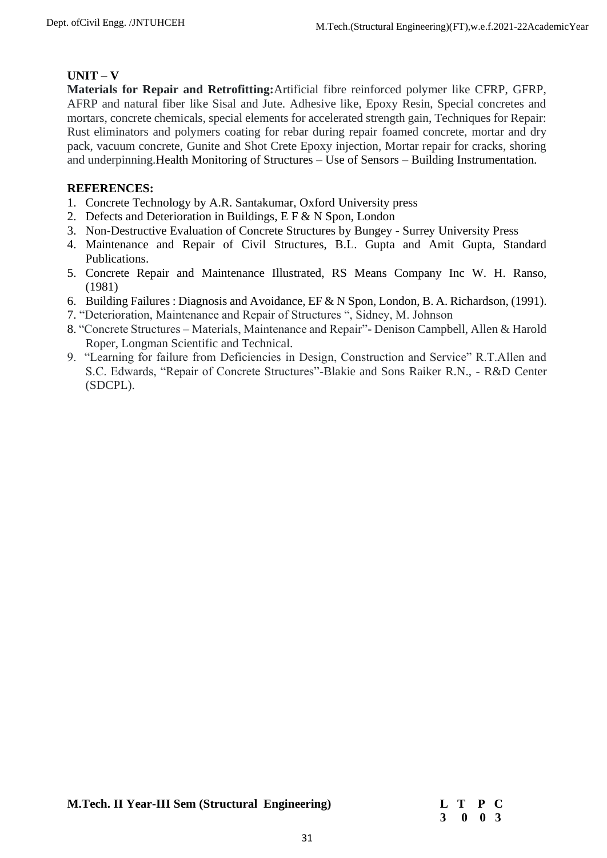# **UNIT – V**

**Materials for Repair and Retrofitting:**Artificial fibre reinforced polymer like CFRP, GFRP, AFRP and natural fiber like Sisal and Jute. Adhesive like, Epoxy Resin, Special concretes and mortars, concrete chemicals, special elements for accelerated strength gain, Techniques for Repair: Rust eliminators and polymers coating for rebar during repair foamed concrete, mortar and dry pack, vacuum concrete, Gunite and Shot Crete Epoxy injection, Mortar repair for cracks, shoring and underpinning.Health Monitoring of Structures – Use of Sensors – Building Instrumentation.

- 1. Concrete Technology by A.R. Santakumar, Oxford University press
- 2. Defects and Deterioration in Buildings, E F & N Spon, London
- 3. Non-Destructive Evaluation of Concrete Structures by Bungey Surrey University Press
- 4. Maintenance and Repair of Civil Structures, B.L. Gupta and Amit Gupta, Standard Publications.
- 5. Concrete Repair and Maintenance Illustrated, RS Means Company Inc W. H. Ranso, (1981)
- 6. Building Failures : Diagnosis and Avoidance, EF & N Spon, London, B. A. Richardson, (1991).
- 7. "Deterioration, Maintenance and Repair of Structures ", Sidney, M. Johnson
- 8. "Concrete Structures Materials, Maintenance and Repair"- Denison Campbell, Allen & Harold Roper, Longman Scientific and Technical.
- 9. "Learning for failure from Deficiencies in Design, Construction and Service" R.T.Allen and S.C. Edwards, "Repair of Concrete Structures"-Blakie and Sons Raiker R.N., - R&D Center (SDCPL).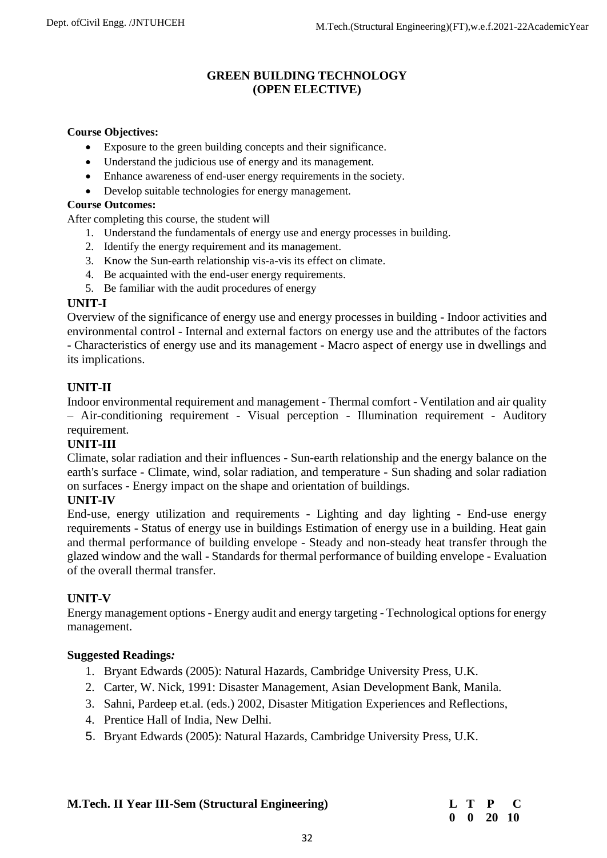# **GREEN BUILDING TECHNOLOGY (OPEN ELECTIVE)**

### **Course Objectives:**

- Exposure to the green building concepts and their significance.
- Understand the judicious use of energy and its management.
- Enhance awareness of end-user energy requirements in the society.
- Develop suitable technologies for energy management.

#### **Course Outcomes:**

After completing this course, the student will

- 1. Understand the fundamentals of energy use and energy processes in building.
- 2. Identify the energy requirement and its management.
- 3. Know the Sun-earth relationship vis-a-vis its effect on climate.
- 4. Be acquainted with the end-user energy requirements.
- 5. Be familiar with the audit procedures of energy

## **UNIT-I**

Overview of the significance of energy use and energy processes in building - Indoor activities and environmental control - Internal and external factors on energy use and the attributes of the factors - Characteristics of energy use and its management - Macro aspect of energy use in dwellings and its implications.

# **UNIT-II**

Indoor environmental requirement and management - Thermal comfort - Ventilation and air quality – Air-conditioning requirement - Visual perception - Illumination requirement - Auditory requirement.

## **UNIT-III**

Climate, solar radiation and their influences - Sun-earth relationship and the energy balance on the earth's surface - Climate, wind, solar radiation, and temperature - Sun shading and solar radiation on surfaces - Energy impact on the shape and orientation of buildings.

## **UNIT-IV**

End-use, energy utilization and requirements - Lighting and day lighting - End-use energy requirements - Status of energy use in buildings Estimation of energy use in a building. Heat gain and thermal performance of building envelope - Steady and non-steady heat transfer through the glazed window and the wall - Standards for thermal performance of building envelope - Evaluation of the overall thermal transfer.

## **UNIT-V**

Energy management options - Energy audit and energy targeting - Technological options for energy management.

## **Suggested Readings***:*

- 1. Bryant Edwards (2005): Natural Hazards, Cambridge University Press, U.K.
- 2. Carter, W. Nick, 1991: Disaster Management, Asian Development Bank, Manila.
- 3. Sahni, Pardeep et.al. (eds.) 2002, Disaster Mitigation Experiences and Reflections,
- 4. Prentice Hall of India, New Delhi.
- 5. Bryant Edwards (2005): Natural Hazards, Cambridge University Press, U.K.

| <b>M.Tech. II Year III-Sem (Structural Engineering)</b> | L T P C |  |
|---------------------------------------------------------|---------|--|
|---------------------------------------------------------|---------|--|

# **0 0 20 10**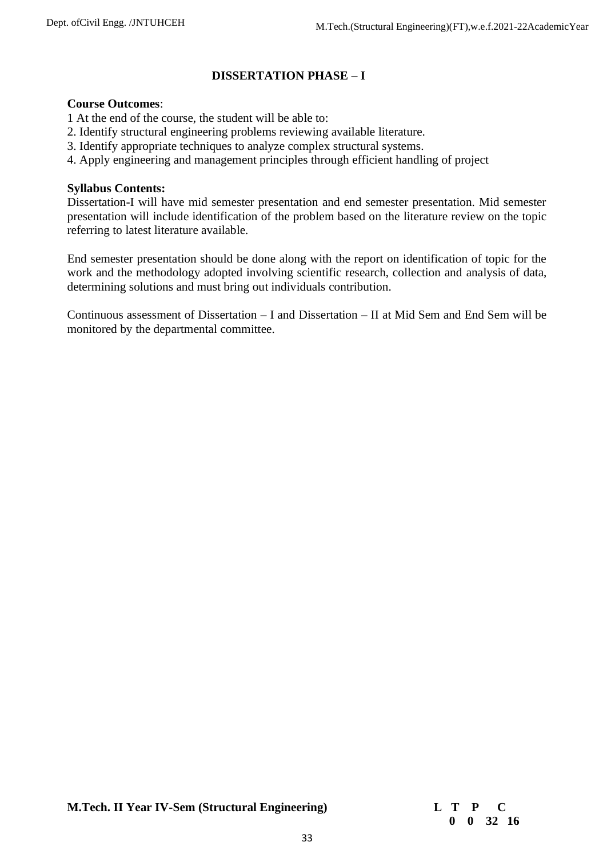# **DISSERTATION PHASE – I**

### **Course Outcomes**:

- 1 At the end of the course, the student will be able to:
- 2. Identify structural engineering problems reviewing available literature.
- 3. Identify appropriate techniques to analyze complex structural systems.
- 4. Apply engineering and management principles through efficient handling of project

#### **Syllabus Contents:**

Dissertation-I will have mid semester presentation and end semester presentation. Mid semester presentation will include identification of the problem based on the literature review on the topic referring to latest literature available.

End semester presentation should be done along with the report on identification of topic for the work and the methodology adopted involving scientific research, collection and analysis of data, determining solutions and must bring out individuals contribution.

Continuous assessment of Dissertation – I and Dissertation – II at Mid Sem and End Sem will be monitored by the departmental committee.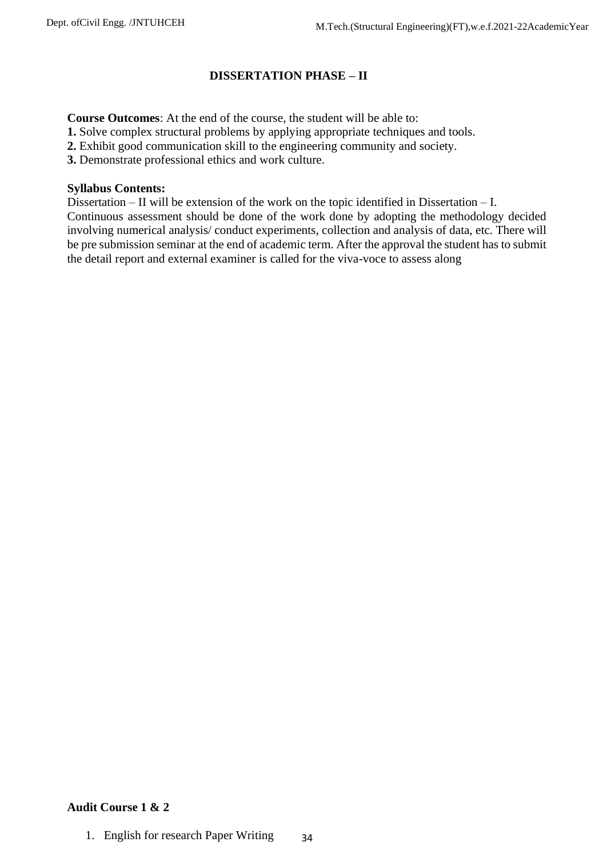# **DISSERTATION PHASE – II**

**Course Outcomes**: At the end of the course, the student will be able to:

**1.** Solve complex structural problems by applying appropriate techniques and tools.

**2.** Exhibit good communication skill to the engineering community and society.

**3.** Demonstrate professional ethics and work culture.

## **Syllabus Contents:**

Dissertation – II will be extension of the work on the topic identified in Dissertation – I. Continuous assessment should be done of the work done by adopting the methodology decided involving numerical analysis/ conduct experiments, collection and analysis of data, etc. There will be pre submission seminar at the end of academic term. After the approval the student has to submit the detail report and external examiner is called for the viva-voce to assess along

# **Audit Course 1 & 2**

34 1. English for research Paper Writing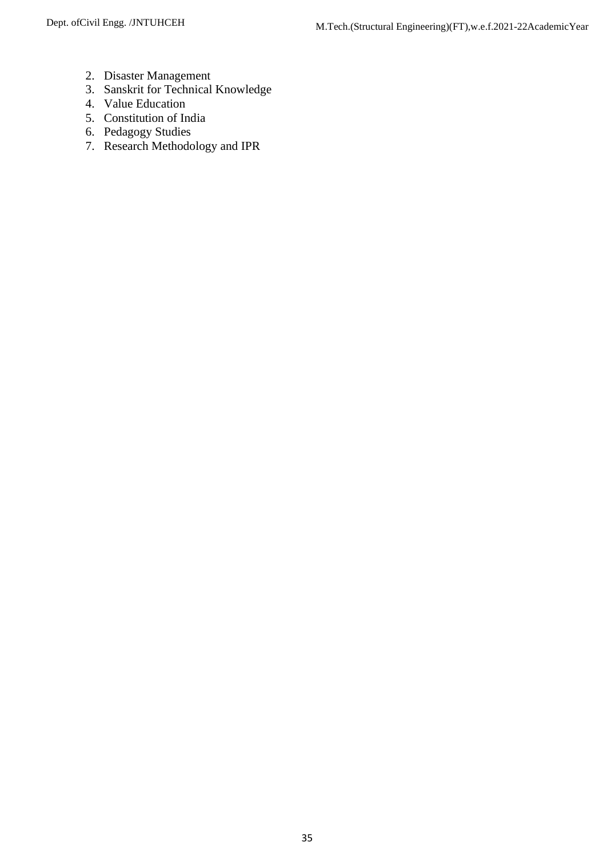- 2. Disaster Management
- 3. Sanskrit for Technical Knowledge
- 4. Value Education
- 5. Constitution of India
- 6. Pedagogy Studies
- 7. Research Methodology and IPR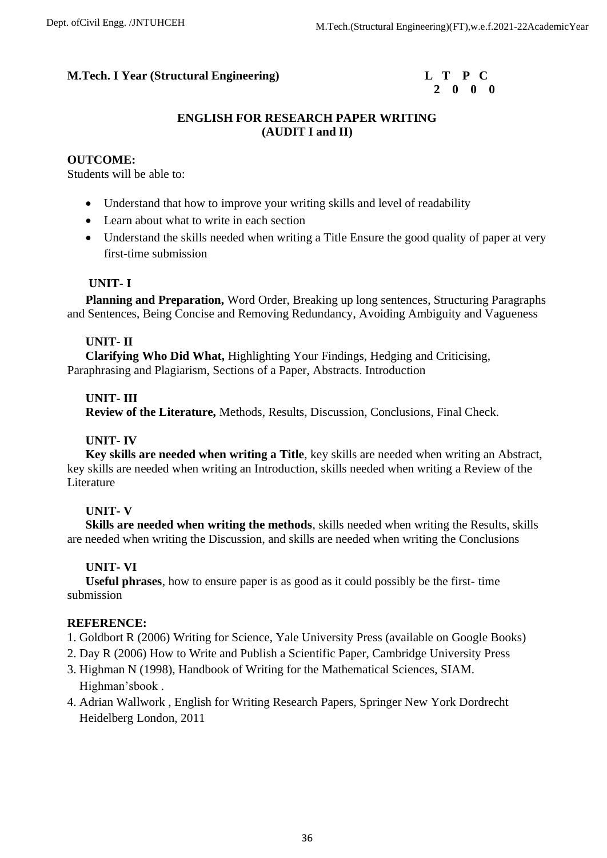

# **ENGLISH FOR RESEARCH PAPER WRITING (AUDIT I and II)**

## **OUTCOME:**

Students will be able to:

- Understand that how to improve your writing skills and level of readability
- Learn about what to write in each section
- Understand the skills needed when writing a Title Ensure the good quality of paper at very first-time submission

## **UNIT- I**

 **Planning and Preparation,** Word Order, Breaking up long sentences, Structuring Paragraphs and Sentences, Being Concise and Removing Redundancy, Avoiding Ambiguity and Vagueness

## **UNIT- II**

 **Clarifying Who Did What,** Highlighting Your Findings, Hedging and Criticising, Paraphrasing and Plagiarism, Sections of a Paper, Abstracts. Introduction

## **UNIT- III**

 **Review of the Literature,** Methods, Results, Discussion, Conclusions, Final Check.

# **UNIT- IV**

 **Key skills are needed when writing a Title**, key skills are needed when writing an Abstract, key skills are needed when writing an Introduction, skills needed when writing a Review of the Literature

# **UNIT- V**

 **Skills are needed when writing the methods**, skills needed when writing the Results, skills are needed when writing the Discussion, and skills are needed when writing the Conclusions

# **UNIT- VI**

 **Useful phrases**, how to ensure paper is as good as it could possibly be the first- time submission

- 1. Goldbort R (2006) Writing for Science, Yale University Press (available on Google Books)
- 2. Day R (2006) How to Write and Publish a Scientific Paper, Cambridge University Press
- 3. Highman N (1998), Handbook of Writing for the Mathematical Sciences, SIAM. Highman'sbook .
- 4. Adrian Wallwork , English for Writing Research Papers, Springer New York Dordrecht Heidelberg London, 2011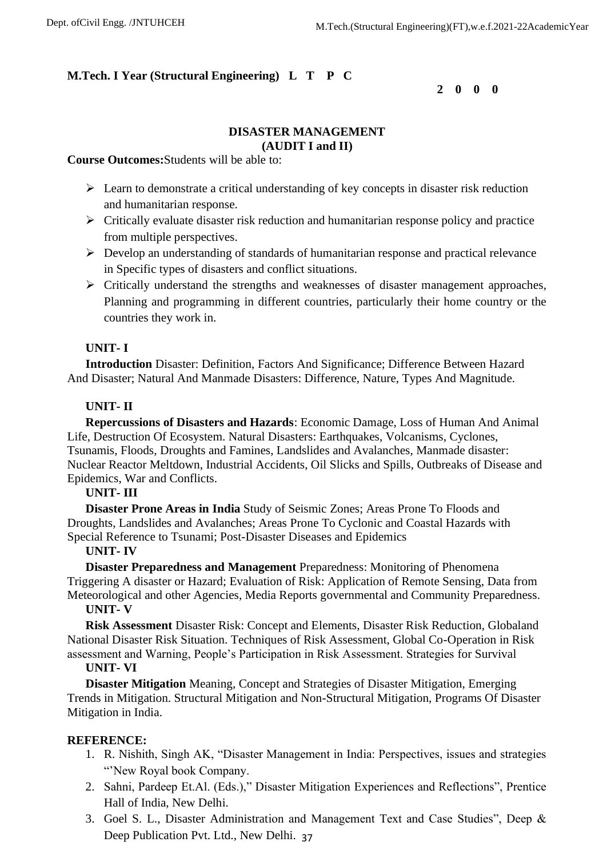**2 0 0 0**

# **DISASTER MANAGEMENT (AUDIT I and II)**

**Course Outcomes:**Students will be able to:

- ➢ Learn to demonstrate a critical understanding of key concepts in disaster risk reduction and humanitarian response.
- ➢ Critically evaluate disaster risk reduction and humanitarian response policy and practice from multiple perspectives.
- ➢ Develop an understanding of standards of humanitarian response and practical relevance in Specific types of disasters and conflict situations.
- $\triangleright$  Critically understand the strengths and weaknesses of disaster management approaches, Planning and programming in different countries, particularly their home country or the countries they work in.

## **UNIT- I**

 **Introduction** Disaster: Definition, Factors And Significance; Difference Between Hazard And Disaster; Natural And Manmade Disasters: Difference, Nature, Types And Magnitude.

## **UNIT- II**

 **Repercussions of Disasters and Hazards**: Economic Damage, Loss of Human And Animal Life, Destruction Of Ecosystem. Natural Disasters: Earthquakes, Volcanisms, Cyclones, Tsunamis, Floods, Droughts and Famines, Landslides and Avalanches, Manmade disaster: Nuclear Reactor Meltdown, Industrial Accidents, Oil Slicks and Spills, Outbreaks of Disease and Epidemics, War and Conflicts.

## **UNIT- III**

 **Disaster Prone Areas in India** Study of Seismic Zones; Areas Prone To Floods and Droughts, Landslides and Avalanches; Areas Prone To Cyclonic and Coastal Hazards with Special Reference to Tsunami; Post-Disaster Diseases and Epidemics

## **UNIT- IV**

 **Disaster Preparedness and Management** Preparedness: Monitoring of Phenomena Triggering A disaster or Hazard; Evaluation of Risk: Application of Remote Sensing, Data from Meteorological and other Agencies, Media Reports governmental and Community Preparedness.

## **UNIT- V**

 **Risk Assessment** Disaster Risk: Concept and Elements, Disaster Risk Reduction, Globaland National Disaster Risk Situation. Techniques of Risk Assessment, Global Co-Operation in Risk assessment and Warning, People's Participation in Risk Assessment. Strategies for Survival

## **UNIT- VI**

 **Disaster Mitigation** Meaning, Concept and Strategies of Disaster Mitigation, Emerging Trends in Mitigation. Structural Mitigation and Non-Structural Mitigation, Programs Of Disaster Mitigation in India.

- 1. R. Nishith, Singh AK, "Disaster Management in India: Perspectives, issues and strategies "New Royal book Company.
- 2. Sahni, Pardeep Et.Al. (Eds.)," Disaster Mitigation Experiences and Reflections", Prentice Hall of India, New Delhi.
- Deep Publication Pvt. Ltd., New Delhi. 37 3. Goel S. L., Disaster Administration and Management Text and Case Studies", Deep &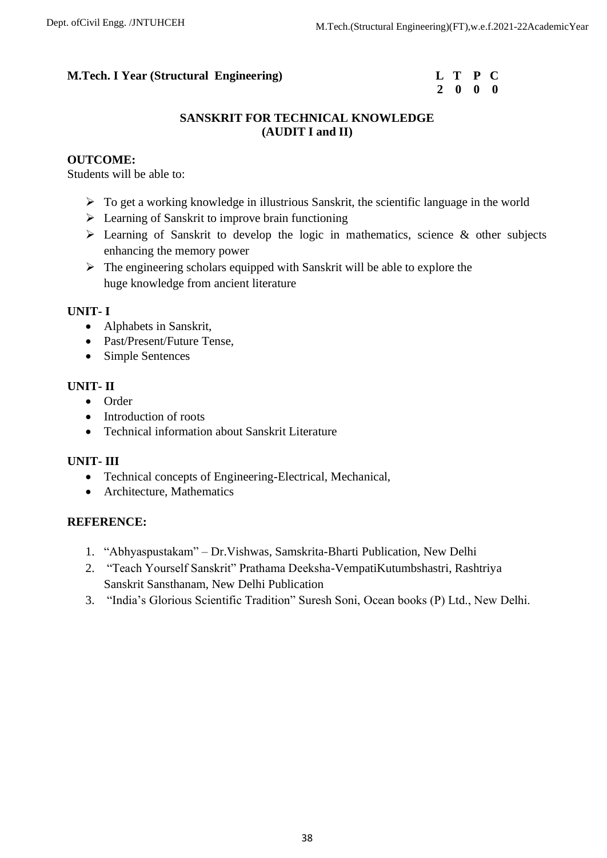# **2 0 0 0**

# **SANSKRIT FOR TECHNICAL KNOWLEDGE (AUDIT I and II)**

# **OUTCOME:**

Students will be able to:

- ➢ To get a working knowledge in illustrious Sanskrit, the scientific language in the world
- ➢ Learning of Sanskrit to improve brain functioning
- $\triangleright$  Learning of Sanskrit to develop the logic in mathematics, science & other subjects enhancing the memory power
- $\triangleright$  The engineering scholars equipped with Sanskrit will be able to explore the huge knowledge from ancient literature

# **UNIT- I**

- Alphabets in Sanskrit,
- Past/Present/Future Tense,
- Simple Sentences

# **UNIT- II**

- Order
- Introduction of roots
- Technical information about Sanskrit Literature

# **UNIT- III**

- Technical concepts of Engineering-Electrical, Mechanical,
- Architecture, Mathematics

- 1. "Abhyaspustakam" Dr.Vishwas, Samskrita-Bharti Publication, New Delhi
- 2. "Teach Yourself Sanskrit" Prathama Deeksha-VempatiKutumbshastri, Rashtriya Sanskrit Sansthanam, New Delhi Publication
- 3. "India's Glorious Scientific Tradition" Suresh Soni, Ocean books (P) Ltd., New Delhi.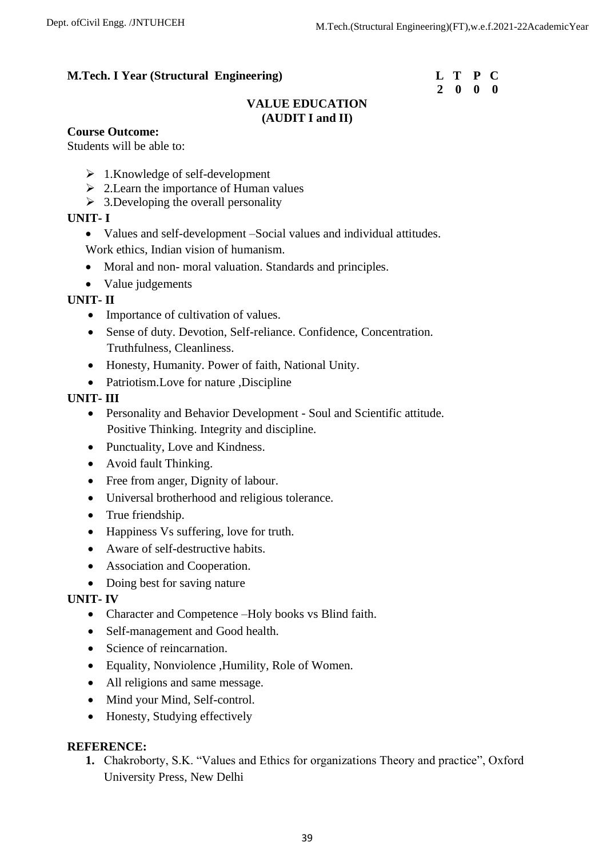# **2 0 0 0**

# **VALUE EDUCATION (AUDIT I and II)**

## **Course Outcome:**

Students will be able to:

- $\geq 1$ . Knowledge of self-development
- $\geq 2$ . Learn the importance of Human values
- $\geq 3$ . Developing the overall personality

## **UNIT- I**

- Values and self-development –Social values and individual attitudes.
- Work ethics, Indian vision of humanism.
- Moral and non- moral valuation. Standards and principles.
- Value judgements

## **UNIT- II**

- Importance of cultivation of values.
- Sense of duty. Devotion, Self-reliance. Confidence, Concentration. Truthfulness, Cleanliness.
- Honesty, Humanity. Power of faith, National Unity.
- Patriotism. Love for nature , Discipline

## **UNIT- III**

- Personality and Behavior Development Soul and Scientific attitude. Positive Thinking. Integrity and discipline.
- Punctuality, Love and Kindness.
- Avoid fault Thinking.
- Free from anger, Dignity of labour.
- Universal brotherhood and religious tolerance.
- True friendship.
- Happiness Vs suffering, love for truth.
- Aware of self-destructive habits.
- Association and Cooperation.
- Doing best for saving nature

# **UNIT- IV**

- Character and Competence –Holy books vs Blind faith.
- Self-management and Good health.
- Science of reincarnation.
- Equality, Nonviolence ,Humility, Role of Women.
- All religions and same message.
- Mind your Mind, Self-control.
- Honesty, Studying effectively

## **REFERENCE:**

**1.** Chakroborty, S.K. "Values and Ethics for organizations Theory and practice", Oxford University Press, New Delhi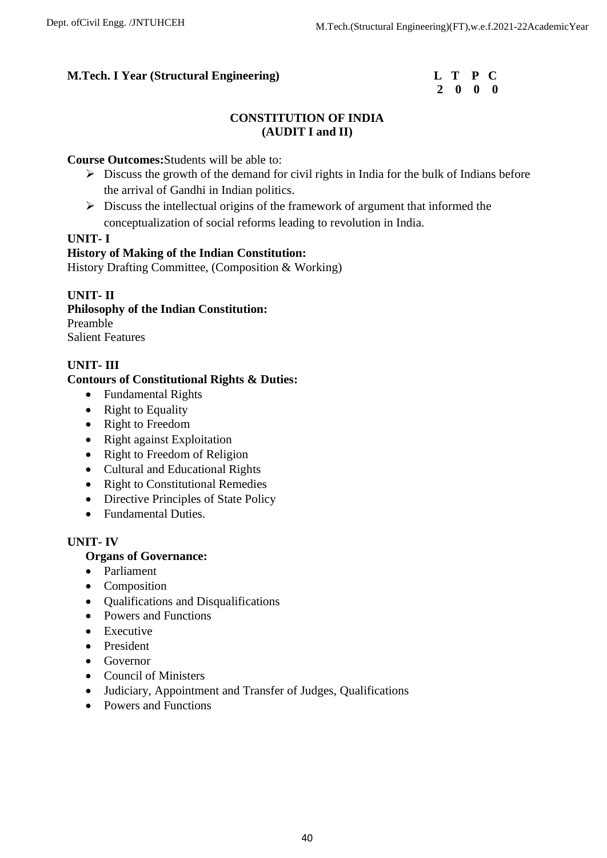| L | Т            | P           | C.          |
|---|--------------|-------------|-------------|
| 2 | $\mathbf{0}$ | $\mathbf 0$ | $\mathbf 0$ |

# **CONSTITUTION OF INDIA (AUDIT I and II)**

## **Course Outcomes:**Students will be able to:

- $\triangleright$  Discuss the growth of the demand for civil rights in India for the bulk of Indians before the arrival of Gandhi in Indian politics.
- $\triangleright$  Discuss the intellectual origins of the framework of argument that informed the conceptualization of social reforms leading to revolution in India.

## **UNIT- I**

## **History of Making of the Indian Constitution:**

History Drafting Committee, (Composition & Working)

## **UNIT- II**

**Philosophy of the Indian Constitution:** Preamble

Salient Features

# **UNIT- III**

## **Contours of Constitutional Rights & Duties:**

- Fundamental Rights
- Right to Equality
- Right to Freedom
- Right against Exploitation
- Right to Freedom of Religion
- Cultural and Educational Rights
- Right to Constitutional Remedies
- Directive Principles of State Policy
- Fundamental Duties.

# **UNIT- IV**

## **Organs of Governance:**

- Parliament
- Composition
- Qualifications and Disqualifications
- Powers and Functions
- Executive
- President
- Governor
- Council of Ministers
- Judiciary, Appointment and Transfer of Judges, Qualifications
- Powers and Functions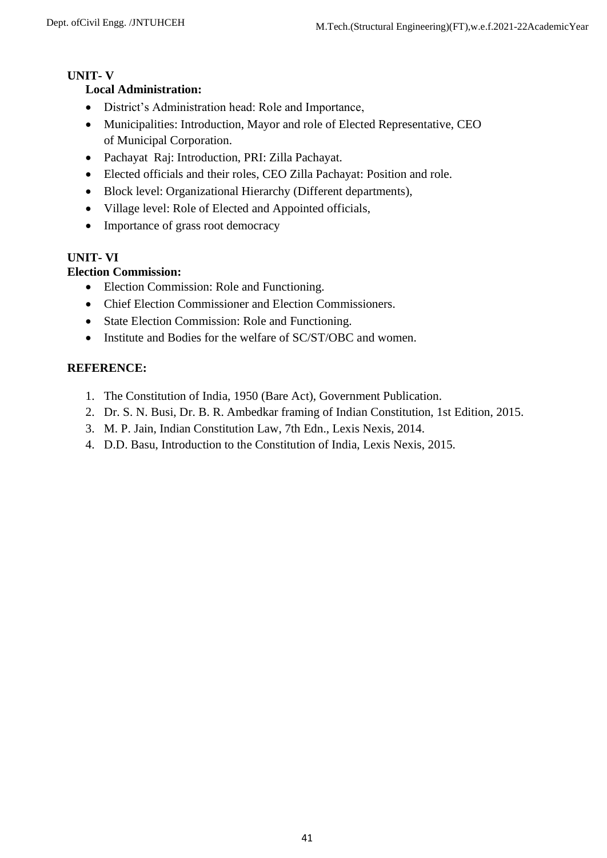# **UNIT- V**

# **Local Administration:**

- District's Administration head: Role and Importance,
- Municipalities: Introduction, Mayor and role of Elected Representative, CEO of Municipal Corporation.
- Pachayat Raj: Introduction, PRI: Zilla Pachayat.
- Elected officials and their roles, CEO Zilla Pachayat: Position and role.
- Block level: Organizational Hierarchy (Different departments),
- Village level: Role of Elected and Appointed officials,
- Importance of grass root democracy

# **UNIT- VI**

# **Election Commission:**

- Election Commission: Role and Functioning.
- Chief Election Commissioner and Election Commissioners.
- State Election Commission: Role and Functioning.
- Institute and Bodies for the welfare of SC/ST/OBC and women.

- 1. The Constitution of India, 1950 (Bare Act), Government Publication.
- 2. Dr. S. N. Busi, Dr. B. R. Ambedkar framing of Indian Constitution, 1st Edition, 2015.
- 3. M. P. Jain, Indian Constitution Law, 7th Edn., Lexis Nexis, 2014.
- 4. D.D. Basu, Introduction to the Constitution of India, Lexis Nexis, 2015.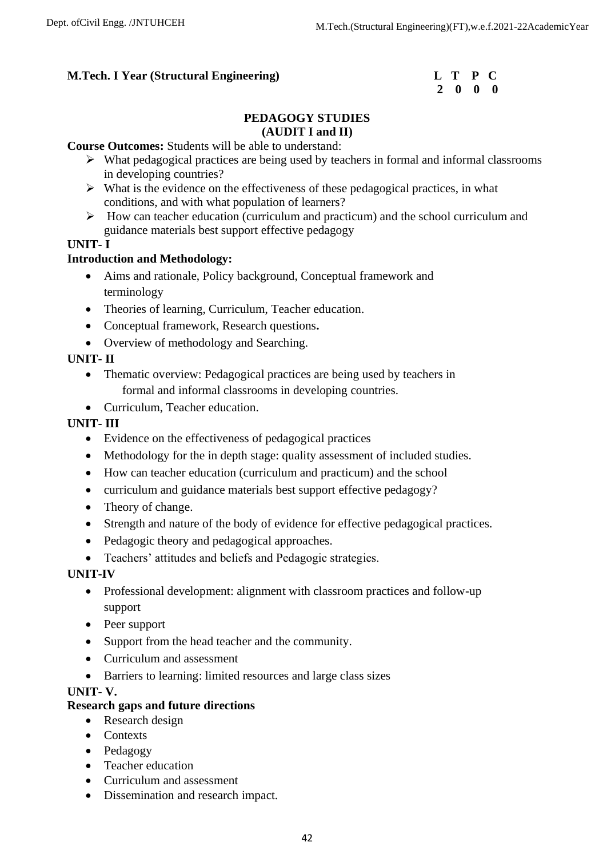| $\mathbf{L}$ | т           | $\mathbf{P}$ | $\mathbf C$  |
|--------------|-------------|--------------|--------------|
| 2            | $\mathbf 0$ | $\mathbf{0}$ | $\mathbf{0}$ |

## **PEDAGOGY STUDIES (AUDIT I and II)**

## **Course Outcomes:** Students will be able to understand:

- ➢ What pedagogical practices are being used by teachers in formal and informal classrooms in developing countries?
- $\triangleright$  What is the evidence on the effectiveness of these pedagogical practices, in what conditions, and with what population of learners?
- ➢ How can teacher education (curriculum and practicum) and the school curriculum and guidance materials best support effective pedagogy

## **UNIT- I**

## **Introduction and Methodology:**

- Aims and rationale, Policy background, Conceptual framework and terminology
- Theories of learning, Curriculum, Teacher education.
- Conceptual framework, Research questions**.**
- Overview of methodology and Searching.

# **UNIT- II**

- Thematic overview: Pedagogical practices are being used by teachers in formal and informal classrooms in developing countries.
- Curriculum, Teacher education.

# **UNIT- III**

- Evidence on the effectiveness of pedagogical practices
- Methodology for the in depth stage: quality assessment of included studies.
- How can teacher education (curriculum and practicum) and the school
- curriculum and guidance materials best support effective pedagogy?
- Theory of change.
- Strength and nature of the body of evidence for effective pedagogical practices.
- Pedagogic theory and pedagogical approaches.
- Teachers' attitudes and beliefs and Pedagogic strategies.

# **UNIT-IV**

- Professional development: alignment with classroom practices and follow-up support
- Peer support
- Support from the head teacher and the community.
- Curriculum and assessment
- Barriers to learning: limited resources and large class sizes

## **UNIT- V.**

## **Research gaps and future directions**

- Research design
- Contexts
- Pedagogy
- Teacher education
- Curriculum and assessment
- Dissemination and research impact.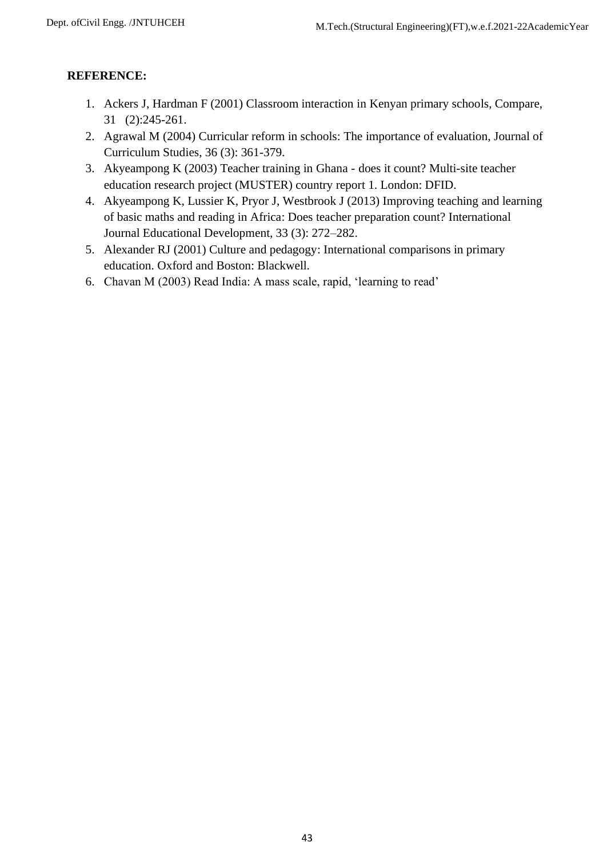- 1. Ackers J, Hardman F (2001) Classroom interaction in Kenyan primary schools, Compare, 31 (2):245-261.
- 2. Agrawal M (2004) Curricular reform in schools: The importance of evaluation, Journal of Curriculum Studies, 36 (3): 361-379.
- 3. Akyeampong K (2003) Teacher training in Ghana does it count? Multi-site teacher education research project (MUSTER) country report 1. London: DFID.
- 4. Akyeampong K, Lussier K, Pryor J, Westbrook J (2013) Improving teaching and learning of basic maths and reading in Africa: Does teacher preparation count? International Journal Educational Development, 33 (3): 272–282.
- 5. Alexander RJ (2001) Culture and pedagogy: International comparisons in primary education. Oxford and Boston: Blackwell.
- 6. Chavan M (2003) Read India: A mass scale, rapid, 'learning to read'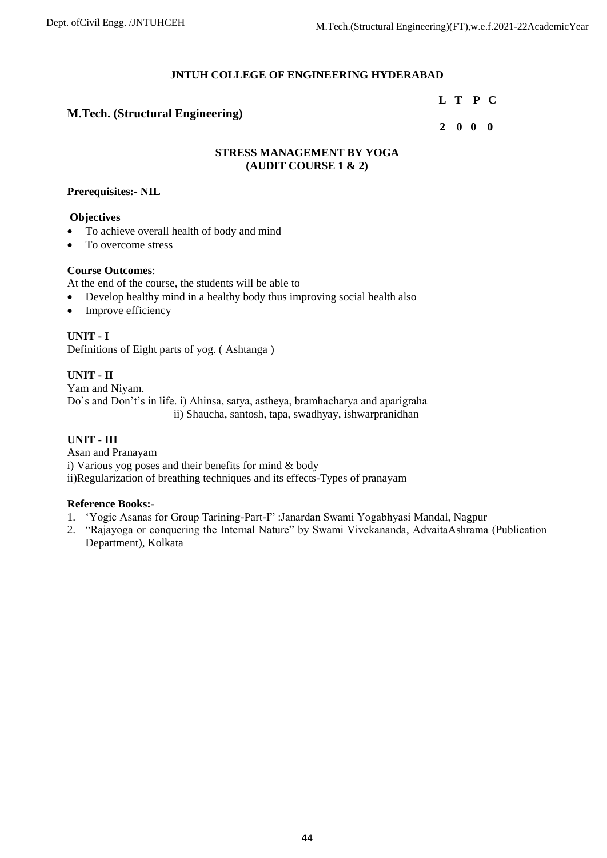## **JNTUH COLLEGE OF ENGINEERING HYDERABAD**

#### **L T P C**

## **M.Tech. (Structural Engineering)**

## **2 0 0 0**

## **STRESS MANAGEMENT BY YOGA (AUDIT COURSE 1 & 2)**

### **Prerequisites:- NIL**

### **Objectives**

- To achieve overall health of body and mind
- To overcome stress

## **Course Outcomes**:

At the end of the course, the students will be able to

- Develop healthy mind in a healthy body thus improving social health also
- Improve efficiency

# **UNIT - I**

Definitions of Eight parts of yog. ( Ashtanga )

## **UNIT - II**

Yam and Niyam. Do`s and Don't's in life. i) Ahinsa, satya, astheya, bramhacharya and aparigraha ii) Shaucha, santosh, tapa, swadhyay, ishwarpranidhan

## **UNIT - III**

Asan and Pranayam i) Various yog poses and their benefits for mind & body ii)Regularization of breathing techniques and its effects-Types of pranayam

#### **Reference Books:-**

- 1. 'Yogic Asanas for Group Tarining-Part-I" :Janardan Swami Yogabhyasi Mandal, Nagpur
- 2. "Rajayoga or conquering the Internal Nature" by Swami Vivekananda, AdvaitaAshrama (Publication Department), Kolkata